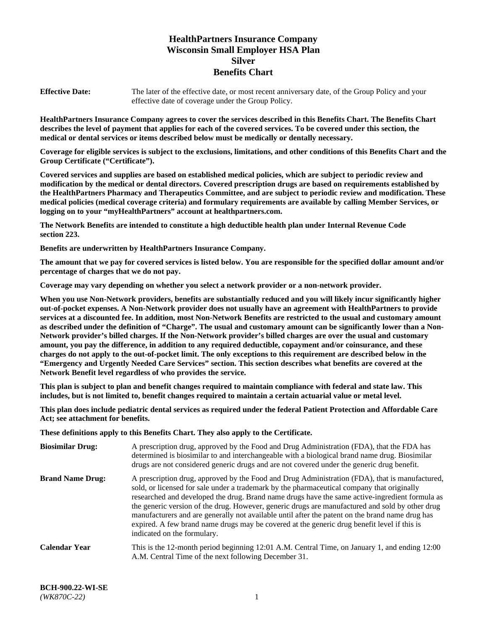# **HealthPartners Insurance Company Wisconsin Small Employer HSA Plan Silver Benefits Chart**

**Effective Date:** The later of the effective date, or most recent anniversary date, of the Group Policy and your effective date of coverage under the Group Policy.

**HealthPartners Insurance Company agrees to cover the services described in this Benefits Chart. The Benefits Chart describes the level of payment that applies for each of the covered services. To be covered under this section, the medical or dental services or items described below must be medically or dentally necessary.**

**Coverage for eligible services is subject to the exclusions, limitations, and other conditions of this Benefits Chart and the Group Certificate ("Certificate").**

**Covered services and supplies are based on established medical policies, which are subject to periodic review and modification by the medical or dental directors. Covered prescription drugs are based on requirements established by the HealthPartners Pharmacy and Therapeutics Committee, and are subject to periodic review and modification. These medical policies (medical coverage criteria) and formulary requirements are available by calling Member Services, or logging on to your "myHealthPartners" account at [healthpartners.com.](https://www.healthpartners.com/hp/index.html)** 

**The Network Benefits are intended to constitute a high deductible health plan under Internal Revenue Code section 223.**

**Benefits are underwritten by HealthPartners Insurance Company.**

**The amount that we pay for covered services is listed below. You are responsible for the specified dollar amount and/or percentage of charges that we do not pay.**

**Coverage may vary depending on whether you select a network provider or a non-network provider.**

**When you use Non-Network providers, benefits are substantially reduced and you will likely incur significantly higher out-of-pocket expenses. A Non-Network provider does not usually have an agreement with HealthPartners to provide services at a discounted fee. In addition, most Non-Network Benefits are restricted to the usual and customary amount as described under the definition of "Charge". The usual and customary amount can be significantly lower than a Non-Network provider's billed charges. If the Non-Network provider's billed charges are over the usual and customary amount, you pay the difference, in addition to any required deductible, copayment and/or coinsurance, and these charges do not apply to the out-of-pocket limit. The only exceptions to this requirement are described below in the "Emergency and Urgently Needed Care Services" section. This section describes what benefits are covered at the Network Benefit level regardless of who provides the service.**

**This plan is subject to plan and benefit changes required to maintain compliance with federal and state law. This includes, but is not limited to, benefit changes required to maintain a certain actuarial value or metal level.**

**This plan does include pediatric dental services as required under the federal Patient Protection and Affordable Care Act; see attachment for benefits.**

**These definitions apply to this Benefits Chart. They also apply to the Certificate.**

| <b>Biosimilar Drug:</b> | A prescription drug, approved by the Food and Drug Administration (FDA), that the FDA has<br>determined is biosimilar to and interchangeable with a biological brand name drug. Biosimilar<br>drugs are not considered generic drugs and are not covered under the generic drug benefit.                                                                                                                                                                                                                                                                                                                                           |
|-------------------------|------------------------------------------------------------------------------------------------------------------------------------------------------------------------------------------------------------------------------------------------------------------------------------------------------------------------------------------------------------------------------------------------------------------------------------------------------------------------------------------------------------------------------------------------------------------------------------------------------------------------------------|
| <b>Brand Name Drug:</b> | A prescription drug, approved by the Food and Drug Administration (FDA), that is manufactured,<br>sold, or licensed for sale under a trademark by the pharmaceutical company that originally<br>researched and developed the drug. Brand name drugs have the same active-ingredient formula as<br>the generic version of the drug. However, generic drugs are manufactured and sold by other drug<br>manufacturers and are generally not available until after the patent on the brand name drug has<br>expired. A few brand name drugs may be covered at the generic drug benefit level if this is<br>indicated on the formulary. |
| <b>Calendar Year</b>    | This is the 12-month period beginning 12:01 A.M. Central Time, on January 1, and ending 12:00<br>A.M. Central Time of the next following December 31.                                                                                                                                                                                                                                                                                                                                                                                                                                                                              |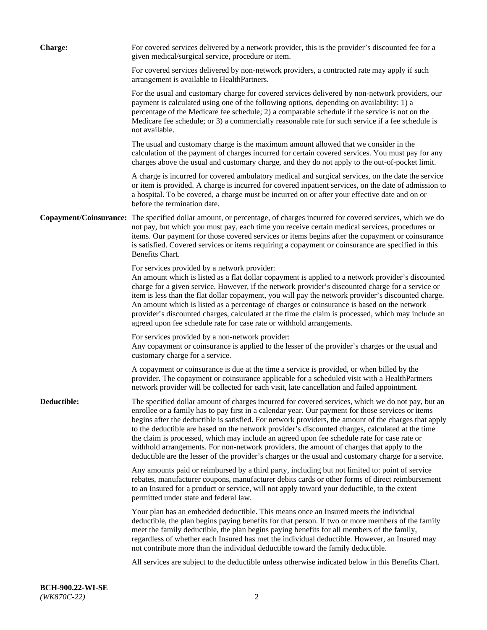| <b>Charge:</b> | For covered services delivered by a network provider, this is the provider's discounted fee for a<br>given medical/surgical service, procedure or item.                                                                                                                                                                                                                                                                                                                                                                                                                                                                                                                                                                 |
|----------------|-------------------------------------------------------------------------------------------------------------------------------------------------------------------------------------------------------------------------------------------------------------------------------------------------------------------------------------------------------------------------------------------------------------------------------------------------------------------------------------------------------------------------------------------------------------------------------------------------------------------------------------------------------------------------------------------------------------------------|
|                | For covered services delivered by non-network providers, a contracted rate may apply if such<br>arrangement is available to HealthPartners.                                                                                                                                                                                                                                                                                                                                                                                                                                                                                                                                                                             |
|                | For the usual and customary charge for covered services delivered by non-network providers, our<br>payment is calculated using one of the following options, depending on availability: 1) a<br>percentage of the Medicare fee schedule; 2) a comparable schedule if the service is not on the<br>Medicare fee schedule; or 3) a commercially reasonable rate for such service if a fee schedule is<br>not available.                                                                                                                                                                                                                                                                                                   |
|                | The usual and customary charge is the maximum amount allowed that we consider in the<br>calculation of the payment of charges incurred for certain covered services. You must pay for any<br>charges above the usual and customary charge, and they do not apply to the out-of-pocket limit.                                                                                                                                                                                                                                                                                                                                                                                                                            |
|                | A charge is incurred for covered ambulatory medical and surgical services, on the date the service<br>or item is provided. A charge is incurred for covered inpatient services, on the date of admission to<br>a hospital. To be covered, a charge must be incurred on or after your effective date and on or<br>before the termination date.                                                                                                                                                                                                                                                                                                                                                                           |
|                | Copayment/Coinsurance: The specified dollar amount, or percentage, of charges incurred for covered services, which we do<br>not pay, but which you must pay, each time you receive certain medical services, procedures or<br>items. Our payment for those covered services or items begins after the copayment or coinsurance<br>is satisfied. Covered services or items requiring a copayment or coinsurance are specified in this<br>Benefits Chart.                                                                                                                                                                                                                                                                 |
|                | For services provided by a network provider:<br>An amount which is listed as a flat dollar copayment is applied to a network provider's discounted<br>charge for a given service. However, if the network provider's discounted charge for a service or<br>item is less than the flat dollar copayment, you will pay the network provider's discounted charge.<br>An amount which is listed as a percentage of charges or coinsurance is based on the network<br>provider's discounted charges, calculated at the time the claim is processed, which may include an<br>agreed upon fee schedule rate for case rate or withhold arrangements.                                                                            |
|                | For services provided by a non-network provider:<br>Any copayment or coinsurance is applied to the lesser of the provider's charges or the usual and<br>customary charge for a service.                                                                                                                                                                                                                                                                                                                                                                                                                                                                                                                                 |
|                | A copayment or coinsurance is due at the time a service is provided, or when billed by the<br>provider. The copayment or coinsurance applicable for a scheduled visit with a HealthPartners<br>network provider will be collected for each visit, late cancellation and failed appointment.                                                                                                                                                                                                                                                                                                                                                                                                                             |
| Deductible:    | The specified dollar amount of charges incurred for covered services, which we do not pay, but an<br>enrollee or a family has to pay first in a calendar year. Our payment for those services or items<br>begins after the deductible is satisfied. For network providers, the amount of the charges that apply<br>to the deductible are based on the network provider's discounted charges, calculated at the time<br>the claim is processed, which may include an agreed upon fee schedule rate for case rate or<br>withhold arrangements. For non-network providers, the amount of charges that apply to the<br>deductible are the lesser of the provider's charges or the usual and customary charge for a service. |
|                | Any amounts paid or reimbursed by a third party, including but not limited to: point of service<br>rebates, manufacturer coupons, manufacturer debits cards or other forms of direct reimbursement<br>to an Insured for a product or service, will not apply toward your deductible, to the extent<br>permitted under state and federal law.                                                                                                                                                                                                                                                                                                                                                                            |
|                | Your plan has an embedded deductible. This means once an Insured meets the individual<br>deductible, the plan begins paying benefits for that person. If two or more members of the family<br>meet the family deductible, the plan begins paying benefits for all members of the family,<br>regardless of whether each Insured has met the individual deductible. However, an Insured may<br>not contribute more than the individual deductible toward the family deductible.                                                                                                                                                                                                                                           |
|                | All services are subject to the deductible unless otherwise indicated below in this Benefits Chart.                                                                                                                                                                                                                                                                                                                                                                                                                                                                                                                                                                                                                     |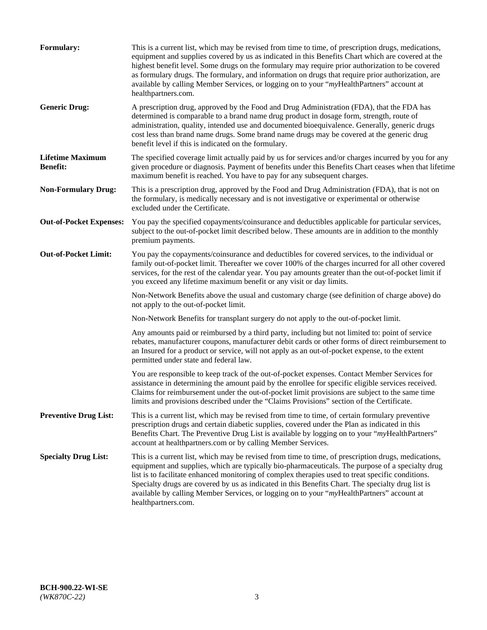| Formulary:                                 | This is a current list, which may be revised from time to time, of prescription drugs, medications,<br>equipment and supplies covered by us as indicated in this Benefits Chart which are covered at the<br>highest benefit level. Some drugs on the formulary may require prior authorization to be covered<br>as formulary drugs. The formulary, and information on drugs that require prior authorization, are<br>available by calling Member Services, or logging on to your "myHealthPartners" account at<br>healthpartners.com. |
|--------------------------------------------|---------------------------------------------------------------------------------------------------------------------------------------------------------------------------------------------------------------------------------------------------------------------------------------------------------------------------------------------------------------------------------------------------------------------------------------------------------------------------------------------------------------------------------------|
| <b>Generic Drug:</b>                       | A prescription drug, approved by the Food and Drug Administration (FDA), that the FDA has<br>determined is comparable to a brand name drug product in dosage form, strength, route of<br>administration, quality, intended use and documented bioequivalence. Generally, generic drugs<br>cost less than brand name drugs. Some brand name drugs may be covered at the generic drug<br>benefit level if this is indicated on the formulary.                                                                                           |
| <b>Lifetime Maximum</b><br><b>Benefit:</b> | The specified coverage limit actually paid by us for services and/or charges incurred by you for any<br>given procedure or diagnosis. Payment of benefits under this Benefits Chart ceases when that lifetime<br>maximum benefit is reached. You have to pay for any subsequent charges.                                                                                                                                                                                                                                              |
| <b>Non-Formulary Drug:</b>                 | This is a prescription drug, approved by the Food and Drug Administration (FDA), that is not on<br>the formulary, is medically necessary and is not investigative or experimental or otherwise<br>excluded under the Certificate.                                                                                                                                                                                                                                                                                                     |
| <b>Out-of-Pocket Expenses:</b>             | You pay the specified copayments/coinsurance and deductibles applicable for particular services,<br>subject to the out-of-pocket limit described below. These amounts are in addition to the monthly<br>premium payments.                                                                                                                                                                                                                                                                                                             |
| <b>Out-of-Pocket Limit:</b>                | You pay the copayments/coinsurance and deductibles for covered services, to the individual or<br>family out-of-pocket limit. Thereafter we cover 100% of the charges incurred for all other covered<br>services, for the rest of the calendar year. You pay amounts greater than the out-of-pocket limit if<br>you exceed any lifetime maximum benefit or any visit or day limits.                                                                                                                                                    |
|                                            | Non-Network Benefits above the usual and customary charge (see definition of charge above) do<br>not apply to the out-of-pocket limit.                                                                                                                                                                                                                                                                                                                                                                                                |
|                                            | Non-Network Benefits for transplant surgery do not apply to the out-of-pocket limit.                                                                                                                                                                                                                                                                                                                                                                                                                                                  |
|                                            | Any amounts paid or reimbursed by a third party, including but not limited to: point of service<br>rebates, manufacturer coupons, manufacturer debit cards or other forms of direct reimbursement to<br>an Insured for a product or service, will not apply as an out-of-pocket expense, to the extent<br>permitted under state and federal law.                                                                                                                                                                                      |
|                                            | You are responsible to keep track of the out-of-pocket expenses. Contact Member Services for<br>assistance in determining the amount paid by the enrollee for specific eligible services received.<br>Claims for reimbursement under the out-of-pocket limit provisions are subject to the same time<br>limits and provisions described under the "Claims Provisions" section of the Certificate.                                                                                                                                     |
| <b>Preventive Drug List:</b>               | This is a current list, which may be revised from time to time, of certain formulary preventive<br>prescription drugs and certain diabetic supplies, covered under the Plan as indicated in this<br>Benefits Chart. The Preventive Drug List is available by logging on to your "myHealthPartners"<br>account at healthpartners.com or by calling Member Services.                                                                                                                                                                    |
| <b>Specialty Drug List:</b>                | This is a current list, which may be revised from time to time, of prescription drugs, medications,<br>equipment and supplies, which are typically bio-pharmaceuticals. The purpose of a specialty drug<br>list is to facilitate enhanced monitoring of complex therapies used to treat specific conditions.<br>Specialty drugs are covered by us as indicated in this Benefits Chart. The specialty drug list is<br>available by calling Member Services, or logging on to your "myHealthPartners" account at<br>healthpartners.com. |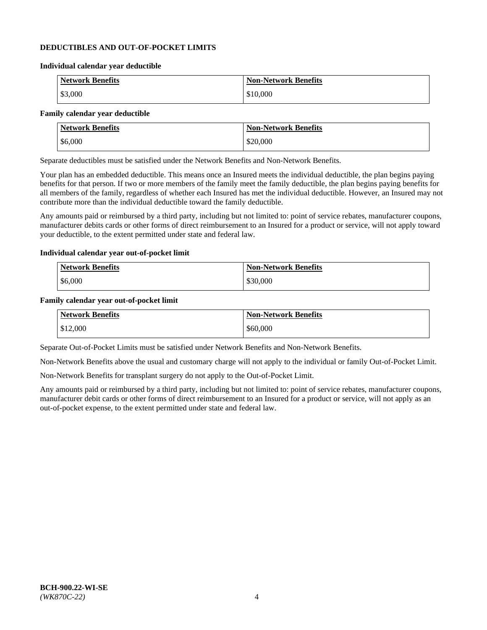## **DEDUCTIBLES AND OUT-OF-POCKET LIMITS**

### **Individual calendar year deductible**

| <b>Network Benefits</b> | <b>Non-Network Benefits</b> |
|-------------------------|-----------------------------|
| \$3,000                 | \$10,000                    |

## **Family calendar year deductible**

| <b>Network Benefits</b> | <b>Non-Network Benefits</b> |
|-------------------------|-----------------------------|
| \$6,000                 | \$20,000                    |

Separate deductibles must be satisfied under the Network Benefits and Non-Network Benefits.

Your plan has an embedded deductible. This means once an Insured meets the individual deductible, the plan begins paying benefits for that person. If two or more members of the family meet the family deductible, the plan begins paying benefits for all members of the family, regardless of whether each Insured has met the individual deductible. However, an Insured may not contribute more than the individual deductible toward the family deductible.

Any amounts paid or reimbursed by a third party, including but not limited to: point of service rebates, manufacturer coupons, manufacturer debits cards or other forms of direct reimbursement to an Insured for a product or service, will not apply toward your deductible, to the extent permitted under state and federal law.

### **Individual calendar year out-of-pocket limit**

| Network Benefits | <b>Non-Network Benefits</b> |
|------------------|-----------------------------|
| \$6,000          | \$30,000                    |

### **Family calendar year out-of-pocket limit**

| <b>Network Benefits</b> | <b>Non-Network Benefits</b> |
|-------------------------|-----------------------------|
| \$12,000                | \$60,000                    |

Separate Out-of-Pocket Limits must be satisfied under Network Benefits and Non-Network Benefits.

Non-Network Benefits above the usual and customary charge will not apply to the individual or family Out-of-Pocket Limit.

Non-Network Benefits for transplant surgery do not apply to the Out-of-Pocket Limit.

Any amounts paid or reimbursed by a third party, including but not limited to: point of service rebates, manufacturer coupons, manufacturer debit cards or other forms of direct reimbursement to an Insured for a product or service, will not apply as an out-of-pocket expense, to the extent permitted under state and federal law.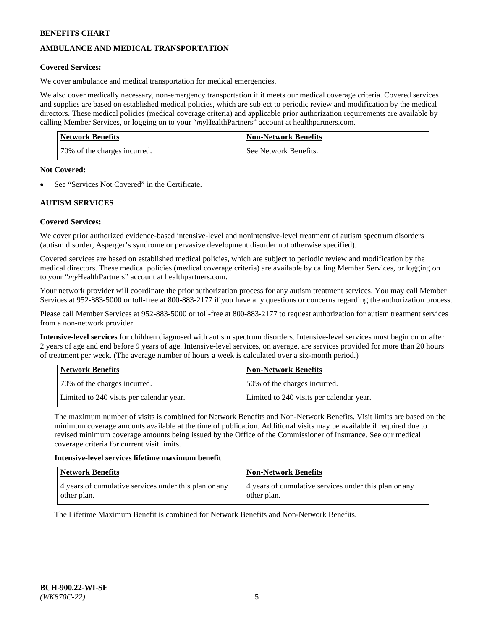# **AMBULANCE AND MEDICAL TRANSPORTATION**

## **Covered Services:**

We cover ambulance and medical transportation for medical emergencies.

We also cover medically necessary, non-emergency transportation if it meets our medical coverage criteria. Covered services and supplies are based on established medical policies, which are subject to periodic review and modification by the medical directors. These medical policies (medical coverage criteria) and applicable prior authorization requirements are available by calling Member Services, or logging on to your "*my*HealthPartners" account a[t healthpartners.com.](https://www.healthpartners.com/hp/index.html)

| <b>Network Benefits</b>      | <b>Non-Network Benefits</b> |
|------------------------------|-----------------------------|
| 70% of the charges incurred. | See Network Benefits.       |

### **Not Covered:**

See "Services Not Covered" in the Certificate.

# **AUTISM SERVICES**

## **Covered Services:**

We cover prior authorized evidence-based intensive-level and nonintensive-level treatment of autism spectrum disorders (autism disorder, Asperger's syndrome or pervasive development disorder not otherwise specified).

Covered services are based on established medical policies, which are subject to periodic review and modification by the medical directors. These medical policies (medical coverage criteria) are available by calling Member Services, or logging on to your "*my*HealthPartners" account at [healthpartners.com.](https://www.healthpartners.com/hp/index.html)

Your network provider will coordinate the prior authorization process for any autism treatment services. You may call Member Services at 952-883-5000 or toll-free at 800-883-2177 if you have any questions or concerns regarding the authorization process.

Please call Member Services at 952-883-5000 or toll-free at 800-883-2177 to request authorization for autism treatment services from a non-network provider.

**Intensive-level services** for children diagnosed with autism spectrum disorders. Intensive-level services must begin on or after 2 years of age and end before 9 years of age. Intensive-level services, on average, are services provided for more than 20 hours of treatment per week. (The average number of hours a week is calculated over a six-month period.)

| Network Benefits                         | <b>Non-Network Benefits</b>              |
|------------------------------------------|------------------------------------------|
| 70% of the charges incurred.             | 50% of the charges incurred.             |
| Limited to 240 visits per calendar year. | Limited to 240 visits per calendar year. |

The maximum number of visits is combined for Network Benefits and Non-Network Benefits. Visit limits are based on the minimum coverage amounts available at the time of publication. Additional visits may be available if required due to revised minimum coverage amounts being issued by the Office of the Commissioner of Insurance. See our medical coverage criteria for current visit limits.

### **Intensive-level services lifetime maximum benefit**

| Network Benefits                                                     | <b>Non-Network Benefits</b>                                          |
|----------------------------------------------------------------------|----------------------------------------------------------------------|
| 4 years of cumulative services under this plan or any<br>other plan. | 4 years of cumulative services under this plan or any<br>other plan. |

The Lifetime Maximum Benefit is combined for Network Benefits and Non-Network Benefits.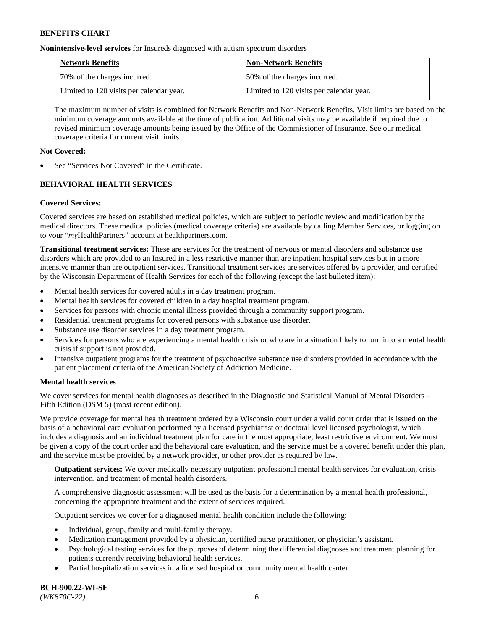**Nonintensive-level services** for Insureds diagnosed with autism spectrum disorders

| Network Benefits                         | <b>Non-Network Benefits</b>              |
|------------------------------------------|------------------------------------------|
| 70% of the charges incurred.             | 50% of the charges incurred.             |
| Limited to 120 visits per calendar year. | Limited to 120 visits per calendar year. |

The maximum number of visits is combined for Network Benefits and Non-Network Benefits. Visit limits are based on the minimum coverage amounts available at the time of publication. Additional visits may be available if required due to revised minimum coverage amounts being issued by the Office of the Commissioner of Insurance. See our medical coverage criteria for current visit limits.

## **Not Covered:**

See "Services Not Covered" in the Certificate.

# **BEHAVIORAL HEALTH SERVICES**

## **Covered Services:**

Covered services are based on established medical policies, which are subject to periodic review and modification by the medical directors. These medical policies (medical coverage criteria) are available by calling Member Services, or logging on to your "*my*HealthPartners" account at [healthpartners.com.](https://www.healthpartners.com/hp/index.html)

**Transitional treatment services:** These are services for the treatment of nervous or mental disorders and substance use disorders which are provided to an Insured in a less restrictive manner than are inpatient hospital services but in a more intensive manner than are outpatient services. Transitional treatment services are services offered by a provider, and certified by the Wisconsin Department of Health Services for each of the following (except the last bulleted item):

- Mental health services for covered adults in a day treatment program.
- Mental health services for covered children in a day hospital treatment program.
- Services for persons with chronic mental illness provided through a community support program.
- Residential treatment programs for covered persons with substance use disorder.
- Substance use disorder services in a day treatment program.
- Services for persons who are experiencing a mental health crisis or who are in a situation likely to turn into a mental health crisis if support is not provided.
- Intensive outpatient programs for the treatment of psychoactive substance use disorders provided in accordance with the patient placement criteria of the American Society of Addiction Medicine.

## **Mental health services**

We cover services for mental health diagnoses as described in the Diagnostic and Statistical Manual of Mental Disorders – Fifth Edition (DSM 5) (most recent edition).

We provide coverage for mental health treatment ordered by a Wisconsin court under a valid court order that is issued on the basis of a behavioral care evaluation performed by a licensed psychiatrist or doctoral level licensed psychologist, which includes a diagnosis and an individual treatment plan for care in the most appropriate, least restrictive environment. We must be given a copy of the court order and the behavioral care evaluation, and the service must be a covered benefit under this plan, and the service must be provided by a network provider, or other provider as required by law.

**Outpatient services:** We cover medically necessary outpatient professional mental health services for evaluation, crisis intervention, and treatment of mental health disorders.

A comprehensive diagnostic assessment will be used as the basis for a determination by a mental health professional, concerning the appropriate treatment and the extent of services required.

Outpatient services we cover for a diagnosed mental health condition include the following:

- Individual, group, family and multi-family therapy.
- Medication management provided by a physician, certified nurse practitioner, or physician's assistant.
- Psychological testing services for the purposes of determining the differential diagnoses and treatment planning for patients currently receiving behavioral health services.
- Partial hospitalization services in a licensed hospital or community mental health center.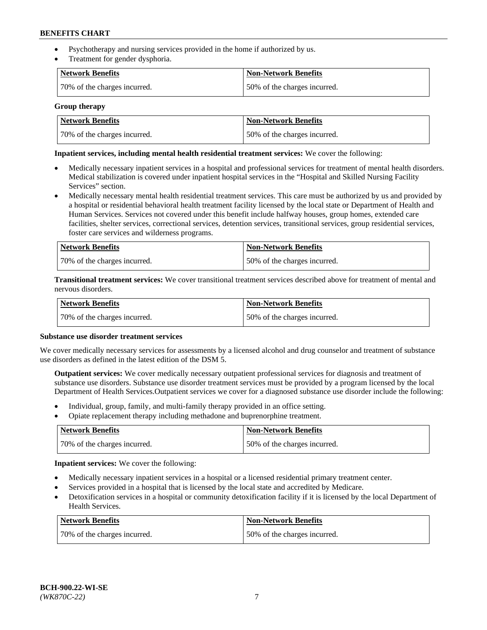- Psychotherapy and nursing services provided in the home if authorized by us.
- Treatment for gender dysphoria.

| Network Benefits             | <b>Non-Network Benefits</b>  |
|------------------------------|------------------------------|
| 70% of the charges incurred. | 50% of the charges incurred. |

### **Group therapy**

| Network Benefits             | <b>Non-Network Benefits</b>  |
|------------------------------|------------------------------|
| 70% of the charges incurred. | 50% of the charges incurred. |

## **Inpatient services, including mental health residential treatment services:** We cover the following:

- Medically necessary inpatient services in a hospital and professional services for treatment of mental health disorders. Medical stabilization is covered under inpatient hospital services in the "Hospital and Skilled Nursing Facility Services" section.
- Medically necessary mental health residential treatment services. This care must be authorized by us and provided by a hospital or residential behavioral health treatment facility licensed by the local state or Department of Health and Human Services. Services not covered under this benefit include halfway houses, group homes, extended care facilities, shelter services, correctional services, detention services, transitional services, group residential services, foster care services and wilderness programs.

| Network Benefits             | <b>Non-Network Benefits</b>  |
|------------------------------|------------------------------|
| 70% of the charges incurred. | 50% of the charges incurred. |

**Transitional treatment services:** We cover transitional treatment services described above for treatment of mental and nervous disorders.

| Network Benefits             | <b>Non-Network Benefits</b>  |
|------------------------------|------------------------------|
| 70% of the charges incurred. | 50% of the charges incurred. |

### **Substance use disorder treatment services**

We cover medically necessary services for assessments by a licensed alcohol and drug counselor and treatment of substance use disorders as defined in the latest edition of the DSM 5.

**Outpatient services:** We cover medically necessary outpatient professional services for diagnosis and treatment of substance use disorders. Substance use disorder treatment services must be provided by a program licensed by the local Department of Health Services.Outpatient services we cover for a diagnosed substance use disorder include the following:

- Individual, group, family, and multi-family therapy provided in an office setting.
- Opiate replacement therapy including methadone and buprenorphine treatment.

| Network Benefits             | Non-Network Benefits         |
|------------------------------|------------------------------|
| 70% of the charges incurred. | 50% of the charges incurred. |

**Inpatient services:** We cover the following:

- Medically necessary inpatient services in a hospital or a licensed residential primary treatment center.
- Services provided in a hospital that is licensed by the local state and accredited by Medicare.
- Detoxification services in a hospital or community detoxification facility if it is licensed by the local Department of Health Services.

| Network Benefits             | <b>Non-Network Benefits</b>  |
|------------------------------|------------------------------|
| 70% of the charges incurred. | 50% of the charges incurred. |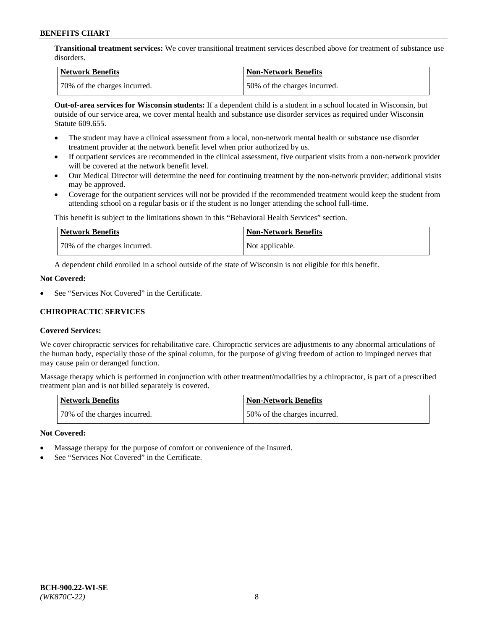**Transitional treatment services:** We cover transitional treatment services described above for treatment of substance use disorders.

| Network Benefits             | <b>Non-Network Benefits</b>  |
|------------------------------|------------------------------|
| 70% of the charges incurred. | 50% of the charges incurred. |

**Out-of-area services for Wisconsin students:** If a dependent child is a student in a school located in Wisconsin, but outside of our service area, we cover mental health and substance use disorder services as required under Wisconsin Statute 609.655.

- The student may have a clinical assessment from a local, non-network mental health or substance use disorder treatment provider at the network benefit level when prior authorized by us.
- If outpatient services are recommended in the clinical assessment, five outpatient visits from a non-network provider will be covered at the network benefit level.
- Our Medical Director will determine the need for continuing treatment by the non-network provider; additional visits may be approved.
- Coverage for the outpatient services will not be provided if the recommended treatment would keep the student from attending school on a regular basis or if the student is no longer attending the school full-time.

This benefit is subject to the limitations shown in this "Behavioral Health Services" section.

| Network Benefits             | <b>Non-Network Benefits</b> |
|------------------------------|-----------------------------|
| 70% of the charges incurred. | Not applicable.             |

A dependent child enrolled in a school outside of the state of Wisconsin is not eligible for this benefit.

## **Not Covered:**

See "Services Not Covered" in the Certificate.

## **CHIROPRACTIC SERVICES**

## **Covered Services:**

We cover chiropractic services for rehabilitative care. Chiropractic services are adjustments to any abnormal articulations of the human body, especially those of the spinal column, for the purpose of giving freedom of action to impinged nerves that may cause pain or deranged function.

Massage therapy which is performed in conjunction with other treatment/modalities by a chiropractor, is part of a prescribed treatment plan and is not billed separately is covered.

| Network Benefits             | Non-Network Benefits         |
|------------------------------|------------------------------|
| 70% of the charges incurred. | 50% of the charges incurred. |

### **Not Covered:**

- Massage therapy for the purpose of comfort or convenience of the Insured.
- See "Services Not Covered" in the Certificate.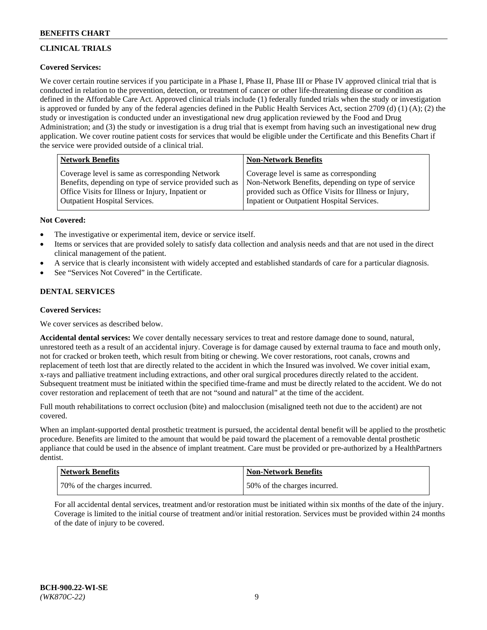# **CLINICAL TRIALS**

# **Covered Services:**

We cover certain routine services if you participate in a Phase I, Phase II, Phase III or Phase IV approved clinical trial that is conducted in relation to the prevention, detection, or treatment of cancer or other life-threatening disease or condition as defined in the Affordable Care Act. Approved clinical trials include (1) federally funded trials when the study or investigation is approved or funded by any of the federal agencies defined in the Public Health Services Act, section 2709 (d) (1) (A); (2) the study or investigation is conducted under an investigational new drug application reviewed by the Food and Drug Administration; and (3) the study or investigation is a drug trial that is exempt from having such an investigational new drug application. We cover routine patient costs for services that would be eligible under the Certificate and this Benefits Chart if the service were provided outside of a clinical trial.

| <b>Network Benefits</b>                                                                                                                                         | <b>Non-Network Benefits</b>                                                                                                                            |
|-----------------------------------------------------------------------------------------------------------------------------------------------------------------|--------------------------------------------------------------------------------------------------------------------------------------------------------|
| Coverage level is same as corresponding Network<br>Benefits, depending on type of service provided such as<br>Office Visits for Illness or Injury, Inpatient or | Coverage level is same as corresponding<br>Non-Network Benefits, depending on type of service<br>provided such as Office Visits for Illness or Injury, |
| <b>Outpatient Hospital Services.</b>                                                                                                                            | Inpatient or Outpatient Hospital Services.                                                                                                             |

## **Not Covered:**

- The investigative or experimental item, device or service itself.
- Items or services that are provided solely to satisfy data collection and analysis needs and that are not used in the direct clinical management of the patient.
- A service that is clearly inconsistent with widely accepted and established standards of care for a particular diagnosis.
- See "Services Not Covered" in the Certificate.

# **DENTAL SERVICES**

## **Covered Services:**

We cover services as described below.

**Accidental dental services:** We cover dentally necessary services to treat and restore damage done to sound, natural, unrestored teeth as a result of an accidental injury. Coverage is for damage caused by external trauma to face and mouth only, not for cracked or broken teeth, which result from biting or chewing. We cover restorations, root canals, crowns and replacement of teeth lost that are directly related to the accident in which the Insured was involved. We cover initial exam, x-rays and palliative treatment including extractions, and other oral surgical procedures directly related to the accident. Subsequent treatment must be initiated within the specified time-frame and must be directly related to the accident. We do not cover restoration and replacement of teeth that are not "sound and natural" at the time of the accident.

Full mouth rehabilitations to correct occlusion (bite) and malocclusion (misaligned teeth not due to the accident) are not covered.

When an implant-supported dental prosthetic treatment is pursued, the accidental dental benefit will be applied to the prosthetic procedure. Benefits are limited to the amount that would be paid toward the placement of a removable dental prosthetic appliance that could be used in the absence of implant treatment. Care must be provided or pre-authorized by a HealthPartners dentist.

| Network Benefits             | <b>Non-Network Benefits</b>  |
|------------------------------|------------------------------|
| 70% of the charges incurred. | 50% of the charges incurred. |

For all accidental dental services, treatment and/or restoration must be initiated within six months of the date of the injury. Coverage is limited to the initial course of treatment and/or initial restoration. Services must be provided within 24 months of the date of injury to be covered.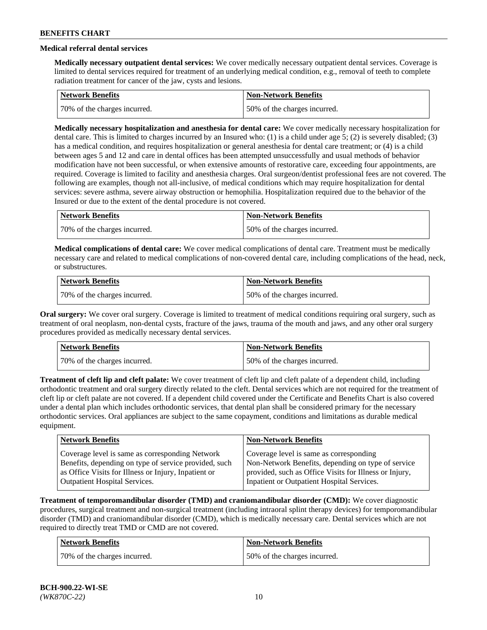# **Medical referral dental services**

**Medically necessary outpatient dental services:** We cover medically necessary outpatient dental services. Coverage is limited to dental services required for treatment of an underlying medical condition, e.g., removal of teeth to complete radiation treatment for cancer of the jaw, cysts and lesions.

| Network Benefits             | <b>Non-Network Benefits</b>  |
|------------------------------|------------------------------|
| 70% of the charges incurred. | 50% of the charges incurred. |

**Medically necessary hospitalization and anesthesia for dental care:** We cover medically necessary hospitalization for dental care. This is limited to charges incurred by an Insured who: (1) is a child under age 5; (2) is severely disabled; (3) has a medical condition, and requires hospitalization or general anesthesia for dental care treatment; or (4) is a child between ages 5 and 12 and care in dental offices has been attempted unsuccessfully and usual methods of behavior modification have not been successful, or when extensive amounts of restorative care, exceeding four appointments, are required. Coverage is limited to facility and anesthesia charges. Oral surgeon/dentist professional fees are not covered. The following are examples, though not all-inclusive, of medical conditions which may require hospitalization for dental services: severe asthma, severe airway obstruction or hemophilia. Hospitalization required due to the behavior of the Insured or due to the extent of the dental procedure is not covered.

| Network Benefits              | Non-Network Benefits         |
|-------------------------------|------------------------------|
| 170% of the charges incurred. | 50% of the charges incurred. |

**Medical complications of dental care:** We cover medical complications of dental care. Treatment must be medically necessary care and related to medical complications of non-covered dental care, including complications of the head, neck, or substructures.

| Network Benefits             | Non-Network Benefits         |
|------------------------------|------------------------------|
| 70% of the charges incurred. | 50% of the charges incurred. |

**Oral surgery:** We cover oral surgery. Coverage is limited to treatment of medical conditions requiring oral surgery, such as treatment of oral neoplasm, non-dental cysts, fracture of the jaws, trauma of the mouth and jaws, and any other oral surgery procedures provided as medically necessary dental services.

| Network Benefits             | <b>Non-Network Benefits</b>  |
|------------------------------|------------------------------|
| 70% of the charges incurred. | 50% of the charges incurred. |

**Treatment of cleft lip and cleft palate:** We cover treatment of cleft lip and cleft palate of a dependent child, including orthodontic treatment and oral surgery directly related to the cleft. Dental services which are not required for the treatment of cleft lip or cleft palate are not covered. If a dependent child covered under the Certificate and Benefits Chart is also covered under a dental plan which includes orthodontic services, that dental plan shall be considered primary for the necessary orthodontic services. Oral appliances are subject to the same copayment, conditions and limitations as durable medical equipment.

| <b>Network Benefits</b>                               | <b>Non-Network Benefits</b>                            |
|-------------------------------------------------------|--------------------------------------------------------|
| Coverage level is same as corresponding Network       | Coverage level is same as corresponding                |
| Benefits, depending on type of service provided, such | Non-Network Benefits, depending on type of service     |
| as Office Visits for Illness or Injury, Inpatient or  | provided, such as Office Visits for Illness or Injury, |
| <b>Outpatient Hospital Services.</b>                  | Inpatient or Outpatient Hospital Services.             |

**Treatment of temporomandibular disorder (TMD) and craniomandibular disorder (CMD):** We cover diagnostic procedures, surgical treatment and non-surgical treatment (including intraoral splint therapy devices) for temporomandibular disorder (TMD) and craniomandibular disorder (CMD), which is medically necessary care. Dental services which are not required to directly treat TMD or CMD are not covered.

| <b>Network Benefits</b>      | <b>Non-Network Benefits</b>  |
|------------------------------|------------------------------|
| 70% of the charges incurred. | 50% of the charges incurred. |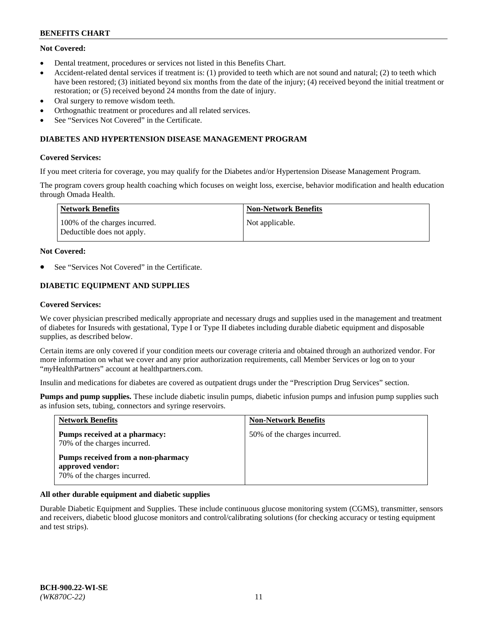# **Not Covered:**

- Dental treatment, procedures or services not listed in this Benefits Chart.
- Accident-related dental services if treatment is: (1) provided to teeth which are not sound and natural; (2) to teeth which have been restored; (3) initiated beyond six months from the date of the injury; (4) received beyond the initial treatment or restoration; or (5) received beyond 24 months from the date of injury.
- Oral surgery to remove wisdom teeth.
- Orthognathic treatment or procedures and all related services.
- See "Services Not Covered" in the Certificate.

## **DIABETES AND HYPERTENSION DISEASE MANAGEMENT PROGRAM**

## **Covered Services:**

If you meet criteria for coverage, you may qualify for the Diabetes and/or Hypertension Disease Management Program.

The program covers group health coaching which focuses on weight loss, exercise, behavior modification and health education through Omada Health.

| <b>Network Benefits</b>                                     | <b>Non-Network Benefits</b> |
|-------------------------------------------------------------|-----------------------------|
| 100% of the charges incurred.<br>Deductible does not apply. | Not applicable.             |

## **Not Covered:**

See "Services Not Covered" in the Certificate.

# **DIABETIC EQUIPMENT AND SUPPLIES**

## **Covered Services:**

We cover physician prescribed medically appropriate and necessary drugs and supplies used in the management and treatment of diabetes for Insureds with gestational, Type I or Type II diabetes including durable diabetic equipment and disposable supplies, as described below.

Certain items are only covered if your condition meets our coverage criteria and obtained through an authorized vendor. For more information on what we cover and any prior authorization requirements, call Member Services or log on to your "*my*HealthPartners" account at [healthpartners.com.](http://www.healthpartners.com/)

Insulin and medications for diabetes are covered as outpatient drugs under the "Prescription Drug Services" section.

**Pumps and pump supplies.** These include diabetic insulin pumps, diabetic infusion pumps and infusion pump supplies such as infusion sets, tubing, connectors and syringe reservoirs.

| <b>Network Benefits</b>                                                                | <b>Non-Network Benefits</b>  |
|----------------------------------------------------------------------------------------|------------------------------|
| Pumps received at a pharmacy:<br>70% of the charges incurred.                          | 50% of the charges incurred. |
| Pumps received from a non-pharmacy<br>approved vendor:<br>70% of the charges incurred. |                              |

## **All other durable equipment and diabetic supplies**

Durable Diabetic Equipment and Supplies. These include continuous glucose monitoring system (CGMS), transmitter, sensors and receivers, diabetic blood glucose monitors and control/calibrating solutions (for checking accuracy or testing equipment and test strips).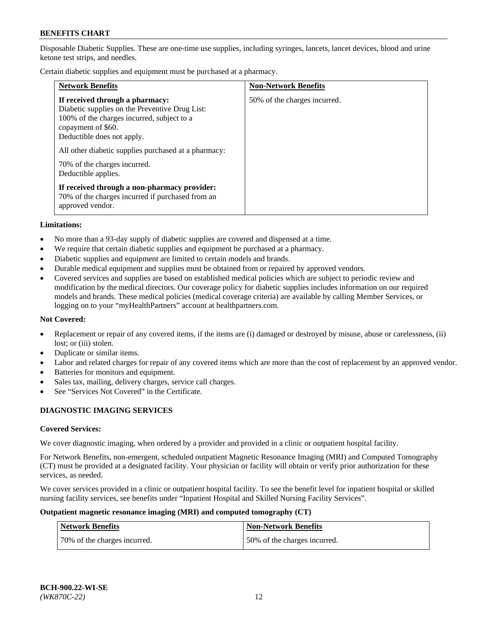Disposable Diabetic Supplies. These are one-time use supplies, including syringes, lancets, lancet devices, blood and urine ketone test strips, and needles.

Certain diabetic supplies and equipment must be purchased at a pharmacy.

| <b>Network Benefits</b>                                                                                                                                                                                                                                                     | <b>Non-Network Benefits</b>  |
|-----------------------------------------------------------------------------------------------------------------------------------------------------------------------------------------------------------------------------------------------------------------------------|------------------------------|
| If received through a pharmacy:<br>Diabetic supplies on the Preventive Drug List:<br>100% of the charges incurred, subject to a<br>copayment of \$60.<br>Deductible does not apply.<br>All other diabetic supplies purchased at a pharmacy:<br>70% of the charges incurred. | 50% of the charges incurred. |
| Deductible applies.                                                                                                                                                                                                                                                         |                              |
| If received through a non-pharmacy provider:<br>70% of the charges incurred if purchased from an<br>approved vendor.                                                                                                                                                        |                              |

### **Limitations:**

- No more than a 93-day supply of diabetic supplies are covered and dispensed at a time.
- We require that certain diabetic supplies and equipment be purchased at a pharmacy.
- Diabetic supplies and equipment are limited to certain models and brands.
- Durable medical equipment and supplies must be obtained from or repaired by approved vendors.
- Covered services and supplies are based on established medical policies which are subject to periodic review and modification by the medical directors. Our coverage policy for diabetic supplies includes information on our required models and brands. These medical policies (medical coverage criteria) are available by calling Member Services, or logging on to your "myHealthPartners" account at [healthpartners.com.](http://www.healthpartners.com/)

## **Not Covered:**

- Replacement or repair of any covered items, if the items are (i) damaged or destroyed by misuse, abuse or carelessness, (ii) lost; or (iii) stolen.
- Duplicate or similar items.
- Labor and related charges for repair of any covered items which are more than the cost of replacement by an approved vendor.
- Batteries for monitors and equipment.
- Sales tax, mailing, delivery charges, service call charges.
- See "Services Not Covered" in the Certificate.

## **DIAGNOSTIC IMAGING SERVICES**

### **Covered Services:**

We cover diagnostic imaging, when ordered by a provider and provided in a clinic or outpatient hospital facility.

For Network Benefits, non-emergent, scheduled outpatient Magnetic Resonance Imaging (MRI) and Computed Tomography (CT) must be provided at a designated facility. Your physician or facility will obtain or verify prior authorization for these services, as needed.

We cover services provided in a clinic or outpatient hospital facility. To see the benefit level for inpatient hospital or skilled nursing facility services, see benefits under "Inpatient Hospital and Skilled Nursing Facility Services".

### **Outpatient magnetic resonance imaging (MRI) and computed tomography (CT)**

| <b>Network Benefits</b>      | <b>Non-Network Benefits</b>  |
|------------------------------|------------------------------|
| 70% of the charges incurred. | 50% of the charges incurred. |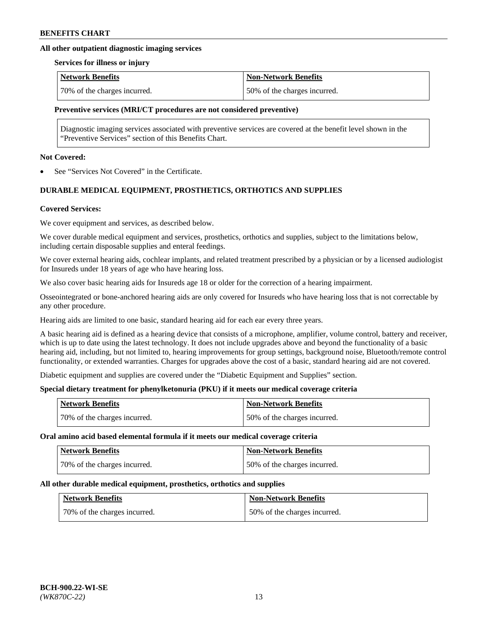## **All other outpatient diagnostic imaging services**

### **Services for illness or injury**

| <b>Network Benefits</b>      | <b>Non-Network Benefits</b>  |
|------------------------------|------------------------------|
| 70% of the charges incurred. | 50% of the charges incurred. |

## **Preventive services (MRI/CT procedures are not considered preventive)**

Diagnostic imaging services associated with preventive services are covered at the benefit level shown in the "Preventive Services" section of this Benefits Chart.

## **Not Covered:**

See "Services Not Covered" in the Certificate.

# **DURABLE MEDICAL EQUIPMENT, PROSTHETICS, ORTHOTICS AND SUPPLIES**

### **Covered Services:**

We cover equipment and services, as described below.

We cover durable medical equipment and services, prosthetics, orthotics and supplies, subject to the limitations below, including certain disposable supplies and enteral feedings.

We cover external hearing aids, cochlear implants, and related treatment prescribed by a physician or by a licensed audiologist for Insureds under 18 years of age who have hearing loss.

We also cover basic hearing aids for Insureds age 18 or older for the correction of a hearing impairment.

Osseointegrated or bone-anchored hearing aids are only covered for Insureds who have hearing loss that is not correctable by any other procedure.

Hearing aids are limited to one basic, standard hearing aid for each ear every three years.

A basic hearing aid is defined as a hearing device that consists of a microphone, amplifier, volume control, battery and receiver, which is up to date using the latest technology. It does not include upgrades above and beyond the functionality of a basic hearing aid, including, but not limited to, hearing improvements for group settings, background noise, Bluetooth/remote control functionality, or extended warranties. Charges for upgrades above the cost of a basic, standard hearing aid are not covered.

Diabetic equipment and supplies are covered under the "Diabetic Equipment and Supplies" section.

## **Special dietary treatment for phenylketonuria (PKU) if it meets our medical coverage criteria**

| <b>Network Benefits</b>      | <b>Non-Network Benefits</b>  |
|------------------------------|------------------------------|
| 70% of the charges incurred. | 50% of the charges incurred. |

### **Oral amino acid based elemental formula if it meets our medical coverage criteria**

| <b>Network Benefits</b>      | <b>Non-Network Benefits</b>  |
|------------------------------|------------------------------|
| 70% of the charges incurred. | 50% of the charges incurred. |

### **All other durable medical equipment, prosthetics, orthotics and supplies**

| <b>Network Benefits</b>      | <b>Non-Network Benefits</b>  |
|------------------------------|------------------------------|
| 70% of the charges incurred. | 50% of the charges incurred. |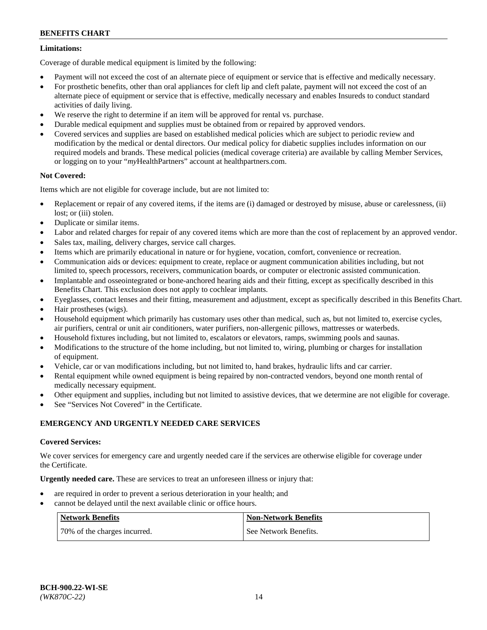# **Limitations:**

Coverage of durable medical equipment is limited by the following:

- Payment will not exceed the cost of an alternate piece of equipment or service that is effective and medically necessary.
- For prosthetic benefits, other than oral appliances for cleft lip and cleft palate, payment will not exceed the cost of an alternate piece of equipment or service that is effective, medically necessary and enables Insureds to conduct standard activities of daily living.
- We reserve the right to determine if an item will be approved for rental vs. purchase.
- Durable medical equipment and supplies must be obtained from or repaired by approved vendors.
- Covered services and supplies are based on established medical policies which are subject to periodic review and modification by the medical or dental directors. Our medical policy for diabetic supplies includes information on our required models and brands. These medical policies (medical coverage criteria) are available by calling Member Services, or logging on to your "*my*HealthPartners" account a[t healthpartners.com.](http://www.healthpartners.com/)

# **Not Covered:**

Items which are not eligible for coverage include, but are not limited to:

- Replacement or repair of any covered items, if the items are (i) damaged or destroyed by misuse, abuse or carelessness, (ii) lost; or (iii) stolen.
- Duplicate or similar items.
- Labor and related charges for repair of any covered items which are more than the cost of replacement by an approved vendor.
- Sales tax, mailing, delivery charges, service call charges.
- Items which are primarily educational in nature or for hygiene, vocation, comfort, convenience or recreation.
- Communication aids or devices: equipment to create, replace or augment communication abilities including, but not limited to, speech processors, receivers, communication boards, or computer or electronic assisted communication.
- Implantable and osseointegrated or bone-anchored hearing aids and their fitting, except as specifically described in this Benefits Chart. This exclusion does not apply to cochlear implants.
- Eyeglasses, contact lenses and their fitting, measurement and adjustment, except as specifically described in this Benefits Chart.
- Hair prostheses (wigs).
- Household equipment which primarily has customary uses other than medical, such as, but not limited to, exercise cycles, air purifiers, central or unit air conditioners, water purifiers, non-allergenic pillows, mattresses or waterbeds.
- Household fixtures including, but not limited to, escalators or elevators, ramps, swimming pools and saunas.
- Modifications to the structure of the home including, but not limited to, wiring, plumbing or charges for installation of equipment.
- Vehicle, car or van modifications including, but not limited to, hand brakes, hydraulic lifts and car carrier.
- Rental equipment while owned equipment is being repaired by non-contracted vendors, beyond one month rental of medically necessary equipment.
- Other equipment and supplies, including but not limited to assistive devices, that we determine are not eligible for coverage.
- See "Services Not Covered" in the Certificate.

## **EMERGENCY AND URGENTLY NEEDED CARE SERVICES**

## **Covered Services:**

We cover services for emergency care and urgently needed care if the services are otherwise eligible for coverage under the Certificate.

**Urgently needed care.** These are services to treat an unforeseen illness or injury that:

- are required in order to prevent a serious deterioration in your health; and
- cannot be delayed until the next available clinic or office hours.

| <b>Network Benefits</b>      | <b>Non-Network Benefits</b> |
|------------------------------|-----------------------------|
| 70% of the charges incurred. | See Network Benefits.       |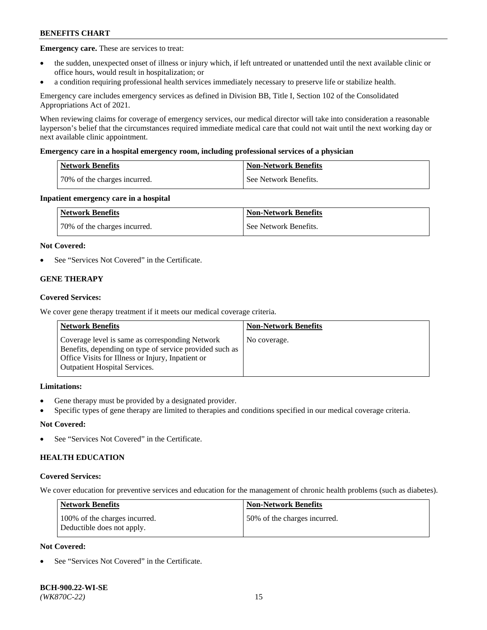**Emergency care.** These are services to treat:

- the sudden, unexpected onset of illness or injury which, if left untreated or unattended until the next available clinic or office hours, would result in hospitalization; or
- a condition requiring professional health services immediately necessary to preserve life or stabilize health.

Emergency care includes emergency services as defined in Division BB, Title I, Section 102 of the Consolidated Appropriations Act of 2021.

When reviewing claims for coverage of emergency services, our medical director will take into consideration a reasonable layperson's belief that the circumstances required immediate medical care that could not wait until the next working day or next available clinic appointment.

## **Emergency care in a hospital emergency room, including professional services of a physician**

| <b>Network Benefits</b>      | <b>Non-Network Benefits</b> |
|------------------------------|-----------------------------|
| 70% of the charges incurred. | See Network Benefits.       |

## **Inpatient emergency care in a hospital**

| <b>Network Benefits</b>      | Non-Network Benefits  |
|------------------------------|-----------------------|
| 70% of the charges incurred. | See Network Benefits. |

## **Not Covered:**

See "Services Not Covered" in the Certificate.

## **GENE THERAPY**

## **Covered Services:**

We cover gene therapy treatment if it meets our medical coverage criteria.

| <b>Network Benefits</b>                                                                                                                                                                                 | <b>Non-Network Benefits</b> |
|---------------------------------------------------------------------------------------------------------------------------------------------------------------------------------------------------------|-----------------------------|
| Coverage level is same as corresponding Network<br>Benefits, depending on type of service provided such as<br>Office Visits for Illness or Injury, Inpatient or<br><b>Outpatient Hospital Services.</b> | No coverage.                |

## **Limitations:**

- Gene therapy must be provided by a designated provider.
- Specific types of gene therapy are limited to therapies and conditions specified in our medical coverage criteria.

## **Not Covered:**

See "Services Not Covered" in the Certificate.

## **HEALTH EDUCATION**

### **Covered Services:**

We cover education for preventive services and education for the management of chronic health problems (such as diabetes).

| <b>Network Benefits</b>                                     | <b>Non-Network Benefits</b>  |
|-------------------------------------------------------------|------------------------------|
| 100% of the charges incurred.<br>Deductible does not apply. | 50% of the charges incurred. |

# **Not Covered:**

See "Services Not Covered" in the Certificate.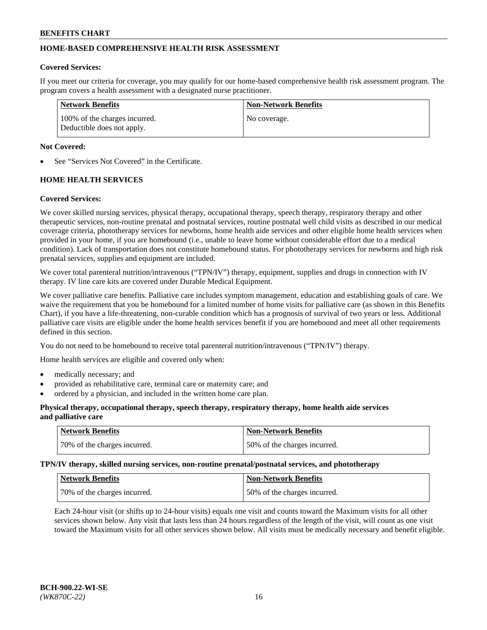# **HOME-BASED COMPREHENSIVE HEALTH RISK ASSESSMENT**

### **Covered Services:**

If you meet our criteria for coverage, you may qualify for our home-based comprehensive health risk assessment program. The program covers a health assessment with a designated nurse practitioner.

| Network Benefits                                            | <b>Non-Network Benefits</b> |
|-------------------------------------------------------------|-----------------------------|
| 100% of the charges incurred.<br>Deductible does not apply. | No coverage.                |

## **Not Covered:**

See "Services Not Covered" in the Certificate.

# **HOME HEALTH SERVICES**

## **Covered Services:**

We cover skilled nursing services, physical therapy, occupational therapy, speech therapy, respiratory therapy and other therapeutic services, non-routine prenatal and postnatal services, routine postnatal well child visits as described in our medical coverage criteria, phototherapy services for newborns, home health aide services and other eligible home health services when provided in your home, if you are homebound (i.e., unable to leave home without considerable effort due to a medical condition). Lack of transportation does not constitute homebound status. For phototherapy services for newborns and high risk prenatal services, supplies and equipment are included.

We cover total parenteral nutrition/intravenous ("TPN/IV") therapy, equipment, supplies and drugs in connection with IV therapy. IV line care kits are covered under Durable Medical Equipment.

We cover palliative care benefits. Palliative care includes symptom management, education and establishing goals of care. We waive the requirement that you be homebound for a limited number of home visits for palliative care (as shown in this Benefits Chart), if you have a life-threatening, non-curable condition which has a prognosis of survival of two years or less. Additional palliative care visits are eligible under the home health services benefit if you are homebound and meet all other requirements defined in this section.

You do not need to be homebound to receive total parenteral nutrition/intravenous ("TPN/IV") therapy.

Home health services are eligible and covered only when:

- medically necessary; and
- provided as rehabilitative care, terminal care or maternity care; and
- ordered by a physician, and included in the written home care plan.

## **Physical therapy, occupational therapy, speech therapy, respiratory therapy, home health aide services and palliative care**

| Network Benefits             | <b>Non-Network Benefits</b>  |
|------------------------------|------------------------------|
| 70% of the charges incurred. | 50% of the charges incurred. |

**TPN/IV therapy, skilled nursing services, non-routine prenatal/postnatal services, and phototherapy**

| <b>Network Benefits</b>      | <b>Non-Network Benefits</b>  |
|------------------------------|------------------------------|
| 70% of the charges incurred. | 50% of the charges incurred. |

Each 24-hour visit (or shifts up to 24-hour visits) equals one visit and counts toward the Maximum visits for all other services shown below. Any visit that lasts less than 24 hours regardless of the length of the visit, will count as one visit toward the Maximum visits for all other services shown below. All visits must be medically necessary and benefit eligible.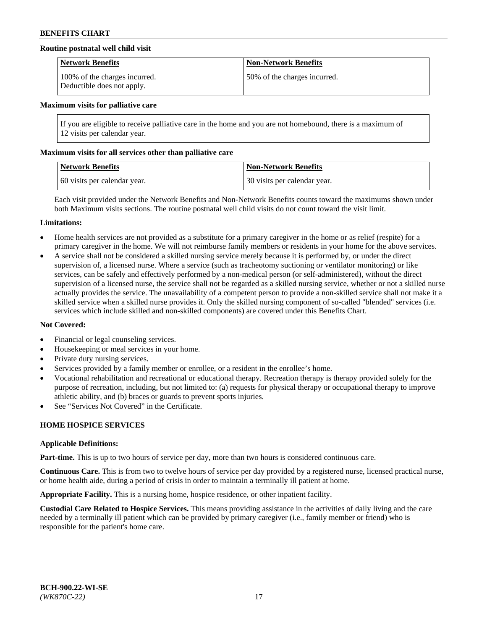## **Routine postnatal well child visit**

| <b>Network Benefits</b>                                     | <b>Non-Network Benefits</b>  |
|-------------------------------------------------------------|------------------------------|
| 100% of the charges incurred.<br>Deductible does not apply. | 50% of the charges incurred. |

### **Maximum visits for palliative care**

If you are eligible to receive palliative care in the home and you are not homebound, there is a maximum of 12 visits per calendar year.

## **Maximum visits for all services other than palliative care**

| Network Benefits             | <b>Non-Network Benefits</b>  |
|------------------------------|------------------------------|
| 60 visits per calendar year. | 30 visits per calendar year. |

Each visit provided under the Network Benefits and Non-Network Benefits counts toward the maximums shown under both Maximum visits sections. The routine postnatal well child visits do not count toward the visit limit.

### **Limitations:**

- Home health services are not provided as a substitute for a primary caregiver in the home or as relief (respite) for a primary caregiver in the home. We will not reimburse family members or residents in your home for the above services.
- A service shall not be considered a skilled nursing service merely because it is performed by, or under the direct supervision of, a licensed nurse. Where a service (such as tracheotomy suctioning or ventilator monitoring) or like services, can be safely and effectively performed by a non-medical person (or self-administered), without the direct supervision of a licensed nurse, the service shall not be regarded as a skilled nursing service, whether or not a skilled nurse actually provides the service. The unavailability of a competent person to provide a non-skilled service shall not make it a skilled service when a skilled nurse provides it. Only the skilled nursing component of so-called "blended" services (i.e. services which include skilled and non-skilled components) are covered under this Benefits Chart.

## **Not Covered:**

- Financial or legal counseling services.
- Housekeeping or meal services in your home.
- Private duty nursing services.
- Services provided by a family member or enrollee, or a resident in the enrollee's home.
- Vocational rehabilitation and recreational or educational therapy. Recreation therapy is therapy provided solely for the purpose of recreation, including, but not limited to: (a) requests for physical therapy or occupational therapy to improve athletic ability, and (b) braces or guards to prevent sports injuries.
- See "Services Not Covered" in the Certificate.

## **HOME HOSPICE SERVICES**

### **Applicable Definitions:**

**Part-time.** This is up to two hours of service per day, more than two hours is considered continuous care.

**Continuous Care.** This is from two to twelve hours of service per day provided by a registered nurse, licensed practical nurse, or home health aide, during a period of crisis in order to maintain a terminally ill patient at home.

**Appropriate Facility.** This is a nursing home, hospice residence, or other inpatient facility.

**Custodial Care Related to Hospice Services.** This means providing assistance in the activities of daily living and the care needed by a terminally ill patient which can be provided by primary caregiver (i.e., family member or friend) who is responsible for the patient's home care.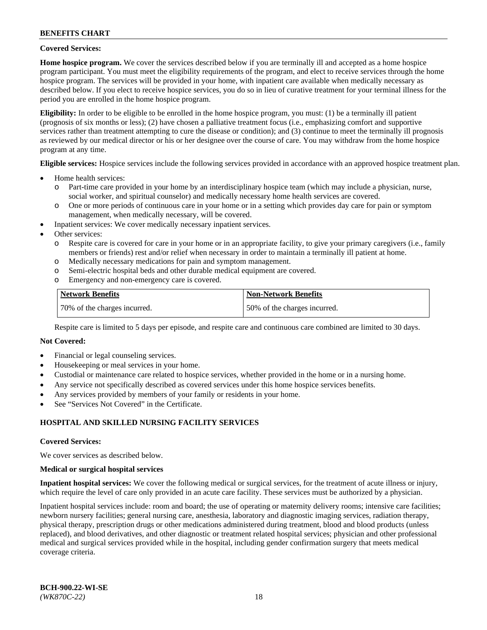## **Covered Services:**

**Home hospice program.** We cover the services described below if you are terminally ill and accepted as a home hospice program participant. You must meet the eligibility requirements of the program, and elect to receive services through the home hospice program. The services will be provided in your home, with inpatient care available when medically necessary as described below. If you elect to receive hospice services, you do so in lieu of curative treatment for your terminal illness for the period you are enrolled in the home hospice program.

**Eligibility:** In order to be eligible to be enrolled in the home hospice program, you must: (1) be a terminally ill patient (prognosis of six months or less); (2) have chosen a palliative treatment focus (i.e., emphasizing comfort and supportive services rather than treatment attempting to cure the disease or condition); and (3) continue to meet the terminally ill prognosis as reviewed by our medical director or his or her designee over the course of care. You may withdraw from the home hospice program at any time.

**Eligible services:** Hospice services include the following services provided in accordance with an approved hospice treatment plan.

- Home health services:
	- o Part-time care provided in your home by an interdisciplinary hospice team (which may include a physician, nurse, social worker, and spiritual counselor) and medically necessary home health services are covered.
	- o One or more periods of continuous care in your home or in a setting which provides day care for pain or symptom management, when medically necessary, will be covered.
- Inpatient services: We cover medically necessary inpatient services.
- Other services:
	- o Respite care is covered for care in your home or in an appropriate facility, to give your primary caregivers (i.e., family members or friends) rest and/or relief when necessary in order to maintain a terminally ill patient at home.
	- o Medically necessary medications for pain and symptom management.
	- o Semi-electric hospital beds and other durable medical equipment are covered.
	- Emergency and non-emergency care is covered.

| Network Benefits             | <b>Non-Network Benefits</b>  |
|------------------------------|------------------------------|
| 70% of the charges incurred. | 50% of the charges incurred. |

Respite care is limited to 5 days per episode, and respite care and continuous care combined are limited to 30 days.

# **Not Covered:**

- Financial or legal counseling services.
- Housekeeping or meal services in your home.
- Custodial or maintenance care related to hospice services, whether provided in the home or in a nursing home.
- Any service not specifically described as covered services under this home hospice services benefits.
- Any services provided by members of your family or residents in your home.
- See "Services Not Covered" in the Certificate.

## **HOSPITAL AND SKILLED NURSING FACILITY SERVICES**

### **Covered Services:**

We cover services as described below.

### **Medical or surgical hospital services**

**Inpatient hospital services:** We cover the following medical or surgical services, for the treatment of acute illness or injury, which require the level of care only provided in an acute care facility. These services must be authorized by a physician.

Inpatient hospital services include: room and board; the use of operating or maternity delivery rooms; intensive care facilities; newborn nursery facilities; general nursing care, anesthesia, laboratory and diagnostic imaging services, radiation therapy, physical therapy, prescription drugs or other medications administered during treatment, blood and blood products (unless replaced), and blood derivatives, and other diagnostic or treatment related hospital services; physician and other professional medical and surgical services provided while in the hospital, including gender confirmation surgery that meets medical coverage criteria.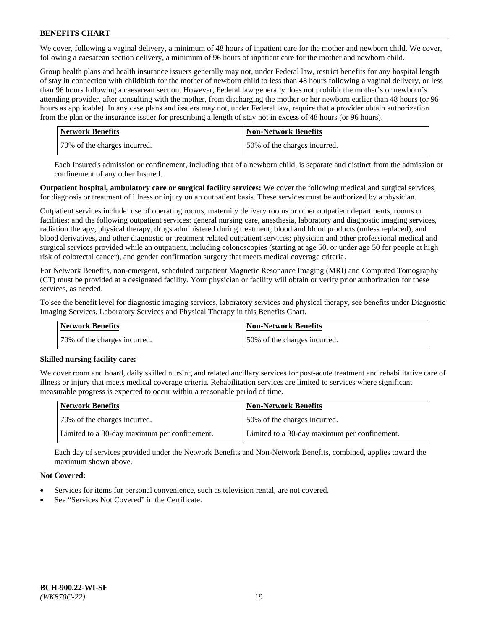We cover, following a vaginal delivery, a minimum of 48 hours of inpatient care for the mother and newborn child. We cover, following a caesarean section delivery, a minimum of 96 hours of inpatient care for the mother and newborn child.

Group health plans and health insurance issuers generally may not, under Federal law, restrict benefits for any hospital length of stay in connection with childbirth for the mother of newborn child to less than 48 hours following a vaginal delivery, or less than 96 hours following a caesarean section. However, Federal law generally does not prohibit the mother's or newborn's attending provider, after consulting with the mother, from discharging the mother or her newborn earlier than 48 hours (or 96 hours as applicable). In any case plans and issuers may not, under Federal law, require that a provider obtain authorization from the plan or the insurance issuer for prescribing a length of stay not in excess of 48 hours (or 96 hours).

| <b>Network Benefits</b>      | <b>Non-Network Benefits</b>  |
|------------------------------|------------------------------|
| 70% of the charges incurred. | 50% of the charges incurred. |

Each Insured's admission or confinement, including that of a newborn child, is separate and distinct from the admission or confinement of any other Insured.

**Outpatient hospital, ambulatory care or surgical facility services:** We cover the following medical and surgical services, for diagnosis or treatment of illness or injury on an outpatient basis. These services must be authorized by a physician.

Outpatient services include: use of operating rooms, maternity delivery rooms or other outpatient departments, rooms or facilities; and the following outpatient services: general nursing care, anesthesia, laboratory and diagnostic imaging services, radiation therapy, physical therapy, drugs administered during treatment, blood and blood products (unless replaced), and blood derivatives, and other diagnostic or treatment related outpatient services; physician and other professional medical and surgical services provided while an outpatient, including colonoscopies (starting at age 50, or under age 50 for people at high risk of colorectal cancer), and gender confirmation surgery that meets medical coverage criteria.

For Network Benefits, non-emergent, scheduled outpatient Magnetic Resonance Imaging (MRI) and Computed Tomography (CT) must be provided at a designated facility. Your physician or facility will obtain or verify prior authorization for these services, as needed.

To see the benefit level for diagnostic imaging services, laboratory services and physical therapy, see benefits under Diagnostic Imaging Services, Laboratory Services and Physical Therapy in this Benefits Chart.

| <b>Network Benefits</b>      | <b>Non-Network Benefits</b>  |
|------------------------------|------------------------------|
| 70% of the charges incurred. | 50% of the charges incurred. |

## **Skilled nursing facility care:**

We cover room and board, daily skilled nursing and related ancillary services for post-acute treatment and rehabilitative care of illness or injury that meets medical coverage criteria. Rehabilitation services are limited to services where significant measurable progress is expected to occur within a reasonable period of time.

| Network Benefits                             | <b>Non-Network Benefits</b>                  |
|----------------------------------------------|----------------------------------------------|
| 170% of the charges incurred.                | 50% of the charges incurred.                 |
| Limited to a 30-day maximum per confinement. | Limited to a 30-day maximum per confinement. |

Each day of services provided under the Network Benefits and Non-Network Benefits, combined, applies toward the maximum shown above.

## **Not Covered:**

- Services for items for personal convenience, such as television rental, are not covered.
- See "Services Not Covered" in the Certificate.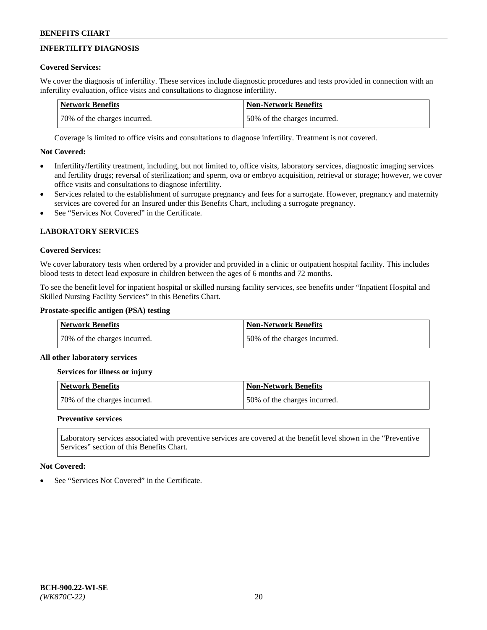# **INFERTILITY DIAGNOSIS**

# **Covered Services:**

We cover the diagnosis of infertility. These services include diagnostic procedures and tests provided in connection with an infertility evaluation, office visits and consultations to diagnose infertility.

| <b>Network Benefits</b>      | <b>Non-Network Benefits</b>  |
|------------------------------|------------------------------|
| 70% of the charges incurred. | 50% of the charges incurred. |

Coverage is limited to office visits and consultations to diagnose infertility. Treatment is not covered.

# **Not Covered:**

- Infertility/fertility treatment, including, but not limited to, office visits, laboratory services, diagnostic imaging services and fertility drugs; reversal of sterilization; and sperm, ova or embryo acquisition, retrieval or storage; however, we cover office visits and consultations to diagnose infertility.
- Services related to the establishment of surrogate pregnancy and fees for a surrogate. However, pregnancy and maternity services are covered for an Insured under this Benefits Chart, including a surrogate pregnancy.
- See "Services Not Covered" in the Certificate.

# **LABORATORY SERVICES**

## **Covered Services:**

We cover laboratory tests when ordered by a provider and provided in a clinic or outpatient hospital facility. This includes blood tests to detect lead exposure in children between the ages of 6 months and 72 months.

To see the benefit level for inpatient hospital or skilled nursing facility services, see benefits under "Inpatient Hospital and Skilled Nursing Facility Services" in this Benefits Chart.

## **Prostate-specific antigen (PSA) testing**

| Network Benefits             | <b>Non-Network Benefits</b>  |
|------------------------------|------------------------------|
| 70% of the charges incurred. | 50% of the charges incurred. |

## **All other laboratory services**

**Services for illness or injury**

| Network Benefits             | <b>Non-Network Benefits</b>  |
|------------------------------|------------------------------|
| 70% of the charges incurred. | 50% of the charges incurred. |

## **Preventive services**

Laboratory services associated with preventive services are covered at the benefit level shown in the "Preventive Services" section of this Benefits Chart.

## **Not Covered:**

See "Services Not Covered" in the Certificate.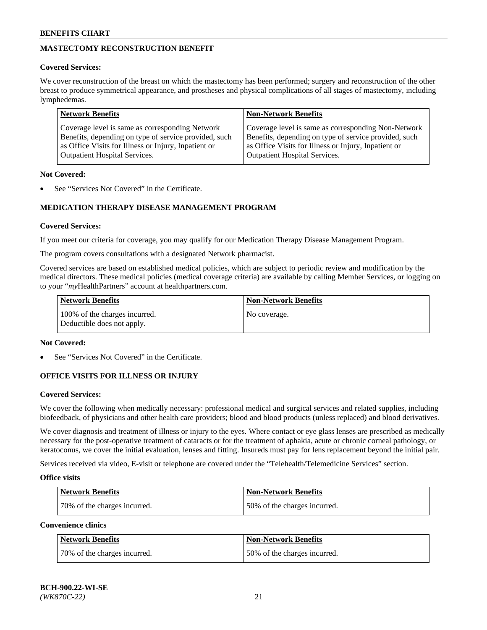# **MASTECTOMY RECONSTRUCTION BENEFIT**

## **Covered Services:**

We cover reconstruction of the breast on which the mastectomy has been performed; surgery and reconstruction of the other breast to produce symmetrical appearance, and prostheses and physical complications of all stages of mastectomy, including lymphedemas.

| <b>Network Benefits</b>                               | <b>Non-Network Benefits</b>                           |
|-------------------------------------------------------|-------------------------------------------------------|
| Coverage level is same as corresponding Network       | Coverage level is same as corresponding Non-Network   |
| Benefits, depending on type of service provided, such | Benefits, depending on type of service provided, such |
| as Office Visits for Illness or Injury, Inpatient or  | as Office Visits for Illness or Injury, Inpatient or  |
| <b>Outpatient Hospital Services.</b>                  | <b>Outpatient Hospital Services.</b>                  |

## **Not Covered:**

See "Services Not Covered" in the Certificate.

# **MEDICATION THERAPY DISEASE MANAGEMENT PROGRAM**

## **Covered Services:**

If you meet our criteria for coverage, you may qualify for our Medication Therapy Disease Management Program.

The program covers consultations with a designated Network pharmacist.

Covered services are based on established medical policies, which are subject to periodic review and modification by the medical directors. These medical policies (medical coverage criteria) are available by calling Member Services, or logging on to your "*my*HealthPartners" account at [healthpartners.com.](http://www.healthpartners.com/)

| Network Benefits                                            | <b>Non-Network Benefits</b> |
|-------------------------------------------------------------|-----------------------------|
| 100% of the charges incurred.<br>Deductible does not apply. | No coverage.                |

## **Not Covered:**

See "Services Not Covered" in the Certificate.

## **OFFICE VISITS FOR ILLNESS OR INJURY**

### **Covered Services:**

We cover the following when medically necessary: professional medical and surgical services and related supplies, including biofeedback, of physicians and other health care providers; blood and blood products (unless replaced) and blood derivatives.

We cover diagnosis and treatment of illness or injury to the eyes. Where contact or eye glass lenses are prescribed as medically necessary for the post-operative treatment of cataracts or for the treatment of aphakia, acute or chronic corneal pathology, or keratoconus, we cover the initial evaluation, lenses and fitting. Insureds must pay for lens replacement beyond the initial pair.

Services received via video, E-visit or telephone are covered under the "Telehealth/Telemedicine Services" section.

### **Office visits**

| <b>Network Benefits</b>      | <b>Non-Network Benefits</b>  |
|------------------------------|------------------------------|
| 70% of the charges incurred. | 50% of the charges incurred. |

**Convenience clinics**

| <b>Network Benefits</b>      | <b>Non-Network Benefits</b>  |
|------------------------------|------------------------------|
| 70% of the charges incurred. | 50% of the charges incurred. |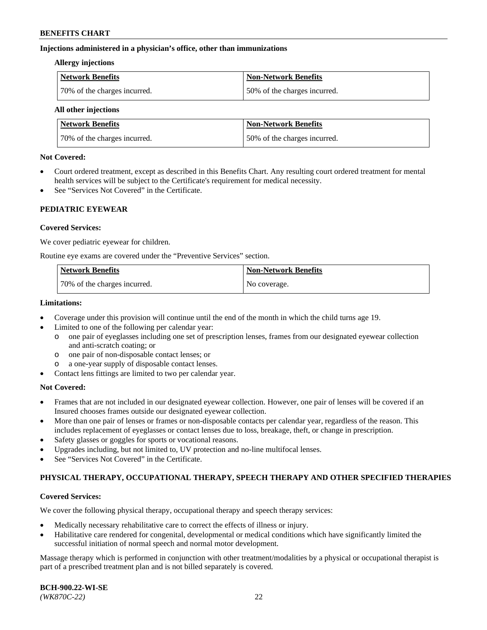## **Injections administered in a physician's office, other than immunizations**

### **Allergy injections**

| <b>Network Benefits</b>      | Non-Network Benefits         |
|------------------------------|------------------------------|
| 70% of the charges incurred. | 50% of the charges incurred. |

### **All other injections**

| <b>Network Benefits</b>      | <b>Non-Network Benefits</b>  |
|------------------------------|------------------------------|
| 70% of the charges incurred. | 50% of the charges incurred. |

## **Not Covered:**

- Court ordered treatment, except as described in this Benefits Chart. Any resulting court ordered treatment for mental health services will be subject to the Certificate's requirement for medical necessity.
- See "Services Not Covered" in the Certificate.

## **PEDIATRIC EYEWEAR**

## **Covered Services:**

We cover pediatric eyewear for children.

Routine eye exams are covered under the "Preventive Services" section.

| Network Benefits             | <b>Non-Network Benefits</b> |
|------------------------------|-----------------------------|
| 70% of the charges incurred. | No coverage.                |

## **Limitations:**

- Coverage under this provision will continue until the end of the month in which the child turns age 19.
- Limited to one of the following per calendar year:
	- o one pair of eyeglasses including one set of prescription lenses, frames from our designated eyewear collection and anti-scratch coating; or
	- o one pair of non-disposable contact lenses; or
	- o a one-year supply of disposable contact lenses.
- Contact lens fittings are limited to two per calendar year.

## **Not Covered:**

- Frames that are not included in our designated eyewear collection. However, one pair of lenses will be covered if an Insured chooses frames outside our designated eyewear collection.
- More than one pair of lenses or frames or non-disposable contacts per calendar year, regardless of the reason. This includes replacement of eyeglasses or contact lenses due to loss, breakage, theft, or change in prescription.
- Safety glasses or goggles for sports or vocational reasons.
- Upgrades including, but not limited to, UV protection and no-line multifocal lenses.
- See "Services Not Covered" in the Certificate.

## **PHYSICAL THERAPY, OCCUPATIONAL THERAPY, SPEECH THERAPY AND OTHER SPECIFIED THERAPIES**

## **Covered Services:**

We cover the following physical therapy, occupational therapy and speech therapy services:

- Medically necessary rehabilitative care to correct the effects of illness or injury.
- Habilitative care rendered for congenital, developmental or medical conditions which have significantly limited the successful initiation of normal speech and normal motor development.

Massage therapy which is performed in conjunction with other treatment/modalities by a physical or occupational therapist is part of a prescribed treatment plan and is not billed separately is covered.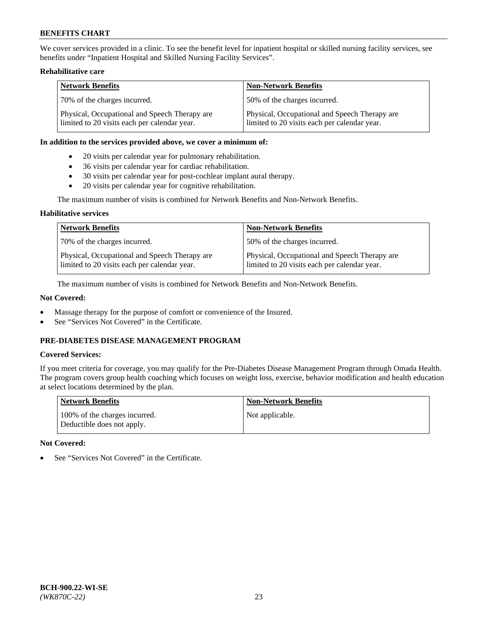We cover services provided in a clinic. To see the benefit level for inpatient hospital or skilled nursing facility services, see benefits under "Inpatient Hospital and Skilled Nursing Facility Services".

## **Rehabilitative care**

| <b>Network Benefits</b>                                                                       | <b>Non-Network Benefits</b>                                                                   |
|-----------------------------------------------------------------------------------------------|-----------------------------------------------------------------------------------------------|
| 70% of the charges incurred.                                                                  | 50% of the charges incurred.                                                                  |
| Physical, Occupational and Speech Therapy are<br>limited to 20 visits each per calendar year. | Physical, Occupational and Speech Therapy are<br>limited to 20 visits each per calendar year. |

## **In addition to the services provided above, we cover a minimum of:**

- 20 visits per calendar year for pulmonary rehabilitation.
- 36 visits per calendar year for cardiac rehabilitation.
- 30 visits per calendar year for post-cochlear implant aural therapy.
- 20 visits per calendar year for cognitive rehabilitation.

The maximum number of visits is combined for Network Benefits and Non-Network Benefits.

## **Habilitative services**

| <b>Network Benefits</b>                                                                       | <b>Non-Network Benefits</b>                                                                   |
|-----------------------------------------------------------------------------------------------|-----------------------------------------------------------------------------------------------|
| 70% of the charges incurred.                                                                  | 50% of the charges incurred.                                                                  |
| Physical, Occupational and Speech Therapy are<br>limited to 20 visits each per calendar year. | Physical, Occupational and Speech Therapy are<br>limited to 20 visits each per calendar year. |

The maximum number of visits is combined for Network Benefits and Non-Network Benefits.

## **Not Covered:**

- Massage therapy for the purpose of comfort or convenience of the Insured.
- See "Services Not Covered" in the Certificate.

# **PRE-DIABETES DISEASE MANAGEMENT PROGRAM**

## **Covered Services:**

If you meet criteria for coverage, you may qualify for the Pre-Diabetes Disease Management Program through Omada Health. The program covers group health coaching which focuses on weight loss, exercise, behavior modification and health education at select locations determined by the plan.

| <b>Network Benefits</b>                                     | <b>Non-Network Benefits</b> |
|-------------------------------------------------------------|-----------------------------|
| 100% of the charges incurred.<br>Deductible does not apply. | Not applicable.             |

## **Not Covered:**

See "Services Not Covered" in the Certificate.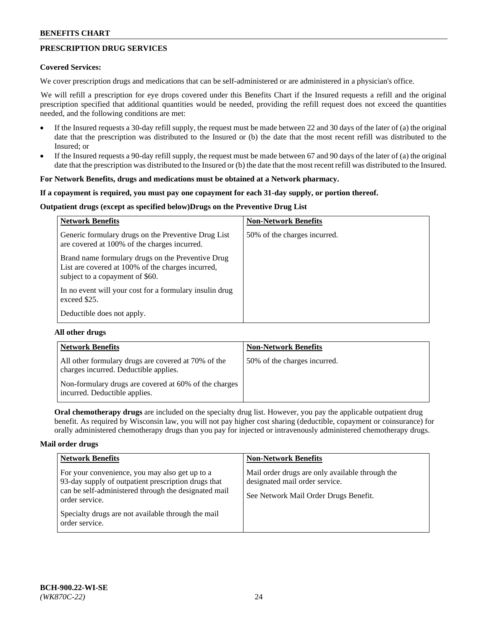# **PRESCRIPTION DRUG SERVICES**

## **Covered Services:**

We cover prescription drugs and medications that can be self-administered or are administered in a physician's office.

We will refill a prescription for eye drops covered under this Benefits Chart if the Insured requests a refill and the original prescription specified that additional quantities would be needed, providing the refill request does not exceed the quantities needed, and the following conditions are met:

- If the Insured requests a 30-day refill supply, the request must be made between 22 and 30 days of the later of (a) the original date that the prescription was distributed to the Insured or (b) the date that the most recent refill was distributed to the Insured; or
- If the Insured requests a 90-day refill supply, the request must be made between 67 and 90 days of the later of (a) the original date that the prescription was distributed to the Insured or (b) the date that the most recent refill was distributed to the Insured.

## **For Network Benefits, drugs and medications must be obtained at a Network pharmacy.**

## **If a copayment is required, you must pay one copayment for each 31-day supply, or portion thereof.**

## **Outpatient drugs (except as specified below)Drugs on the Preventive Drug List**

| <b>Network Benefits</b>                                                                                                                   | <b>Non-Network Benefits</b>  |
|-------------------------------------------------------------------------------------------------------------------------------------------|------------------------------|
| Generic formulary drugs on the Preventive Drug List<br>are covered at 100% of the charges incurred.                                       | 50% of the charges incurred. |
| Brand name formulary drugs on the Preventive Drug<br>List are covered at 100% of the charges incurred,<br>subject to a copayment of \$60. |                              |
| In no event will your cost for a formulary insulin drug<br>exceed \$25.                                                                   |                              |
| Deductible does not apply.                                                                                                                |                              |

## **All other drugs**

| <b>Network Benefits</b>                                                                      | <b>Non-Network Benefits</b>  |
|----------------------------------------------------------------------------------------------|------------------------------|
| All other formulary drugs are covered at 70% of the<br>charges incurred. Deductible applies. | 50% of the charges incurred. |
| Non-formulary drugs are covered at 60% of the charges<br>incurred. Deductible applies.       |                              |

**Oral chemotherapy drugs** are included on the specialty drug list. However, you pay the applicable outpatient drug benefit. As required by Wisconsin law, you will not pay higher cost sharing (deductible, copayment or coinsurance) for orally administered chemotherapy drugs than you pay for injected or intravenously administered chemotherapy drugs.

### **Mail order drugs**

| <b>Network Benefits</b>                                                                                                                                                         | <b>Non-Network Benefits</b>                                                                                                |
|---------------------------------------------------------------------------------------------------------------------------------------------------------------------------------|----------------------------------------------------------------------------------------------------------------------------|
| For your convenience, you may also get up to a<br>93-day supply of outpatient prescription drugs that<br>can be self-administered through the designated mail<br>order service. | Mail order drugs are only available through the<br>designated mail order service.<br>See Network Mail Order Drugs Benefit. |
| Specialty drugs are not available through the mail<br>order service.                                                                                                            |                                                                                                                            |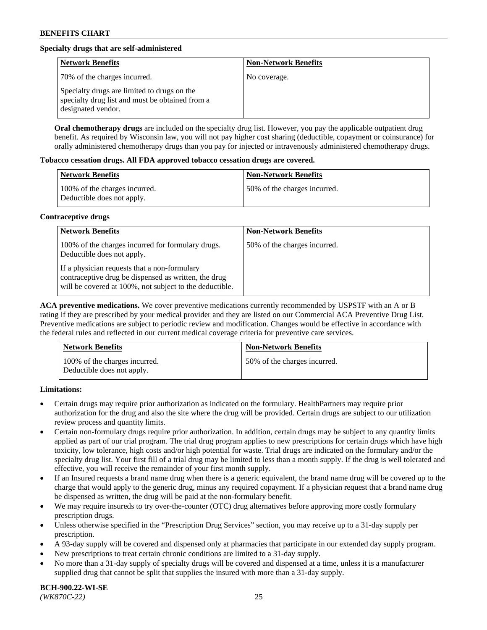## **Specialty drugs that are self-administered**

| <b>Network Benefits</b>                                                                                              | <b>Non-Network Benefits</b> |
|----------------------------------------------------------------------------------------------------------------------|-----------------------------|
| 70% of the charges incurred.                                                                                         | No coverage.                |
| Specialty drugs are limited to drugs on the<br>specialty drug list and must be obtained from a<br>designated vendor. |                             |

**Oral chemotherapy drugs** are included on the specialty drug list. However, you pay the applicable outpatient drug benefit. As required by Wisconsin law, you will not pay higher cost sharing (deductible, copayment or coinsurance) for orally administered chemotherapy drugs than you pay for injected or intravenously administered chemotherapy drugs.

## **Tobacco cessation drugs. All FDA approved tobacco cessation drugs are covered.**

| Network Benefits                                            | <b>Non-Network Benefits</b>   |
|-------------------------------------------------------------|-------------------------------|
| 100% of the charges incurred.<br>Deductible does not apply. | 150% of the charges incurred. |

## **Contraceptive drugs**

| <b>Network Benefits</b>                                                                                                                                         | <b>Non-Network Benefits</b>  |
|-----------------------------------------------------------------------------------------------------------------------------------------------------------------|------------------------------|
| 100% of the charges incurred for formulary drugs.<br>Deductible does not apply.                                                                                 | 50% of the charges incurred. |
| If a physician requests that a non-formulary<br>contraceptive drug be dispensed as written, the drug<br>will be covered at 100%, not subject to the deductible. |                              |

**ACA preventive medications.** We cover preventive medications currently recommended by USPSTF with an A or B rating if they are prescribed by your medical provider and they are listed on our Commercial ACA Preventive Drug List. Preventive medications are subject to periodic review and modification. Changes would be effective in accordance with the federal rules and reflected in our current medical coverage criteria for preventive care services.

| <b>Network Benefits</b>                                     | <b>Non-Network Benefits</b>  |
|-------------------------------------------------------------|------------------------------|
| 100% of the charges incurred.<br>Deductible does not apply. | 50% of the charges incurred. |

## **Limitations:**

- Certain drugs may require prior authorization as indicated on the formulary. HealthPartners may require prior authorization for the drug and also the site where the drug will be provided. Certain drugs are subject to our utilization review process and quantity limits.
- Certain non-formulary drugs require prior authorization. In addition, certain drugs may be subject to any quantity limits applied as part of our trial program. The trial drug program applies to new prescriptions for certain drugs which have high toxicity, low tolerance, high costs and/or high potential for waste. Trial drugs are indicated on the formulary and/or the specialty drug list. Your first fill of a trial drug may be limited to less than a month supply. If the drug is well tolerated and effective, you will receive the remainder of your first month supply.
- If an Insured requests a brand name drug when there is a generic equivalent, the brand name drug will be covered up to the charge that would apply to the generic drug, minus any required copayment. If a physician request that a brand name drug be dispensed as written, the drug will be paid at the non-formulary benefit.
- We may require insureds to try over-the-counter (OTC) drug alternatives before approving more costly formulary prescription drugs.
- Unless otherwise specified in the "Prescription Drug Services" section, you may receive up to a 31-day supply per prescription.
- A 93-day supply will be covered and dispensed only at pharmacies that participate in our extended day supply program.
- New prescriptions to treat certain chronic conditions are limited to a 31-day supply.
- No more than a 31-day supply of specialty drugs will be covered and dispensed at a time, unless it is a manufacturer supplied drug that cannot be split that supplies the insured with more than a 31-day supply.

**BCH-900.22-WI-SE**  *(WK870C-22)* 25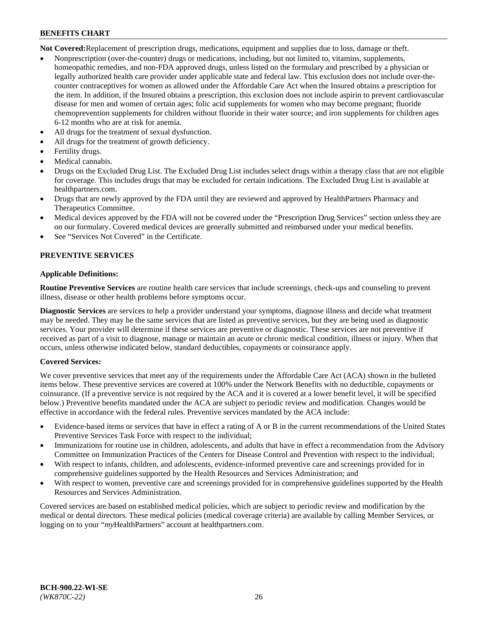**Not Covered:**Replacement of prescription drugs, medications, equipment and supplies due to loss, damage or theft.

- Nonprescription (over-the-counter) drugs or medications, including, but not limited to, vitamins, supplements, homeopathic remedies, and non-FDA approved drugs, unless listed on the formulary and prescribed by a physician or legally authorized health care provider under applicable state and federal law. This exclusion does not include over-thecounter contraceptives for women as allowed under the Affordable Care Act when the Insured obtains a prescription for the item. In addition, if the Insured obtains a prescription, this exclusion does not include aspirin to prevent cardiovascular disease for men and women of certain ages; folic acid supplements for women who may become pregnant; fluoride chemoprevention supplements for children without fluoride in their water source; and iron supplements for children ages 6-12 months who are at risk for anemia.
- All drugs for the treatment of sexual dysfunction.
- All drugs for the treatment of growth deficiency.
- Fertility drugs.
- Medical cannabis.
- Drugs on the Excluded Drug List. The Excluded Drug List includes select drugs within a therapy class that are not eligible for coverage. This includes drugs that may be excluded for certain indications. The Excluded Drug List is available at [healthpartners.com.](http://www.healthpartners.com/)
- Drugs that are newly approved by the FDA until they are reviewed and approved by HealthPartners Pharmacy and Therapeutics Committee.
- Medical devices approved by the FDA will not be covered under the "Prescription Drug Services" section unless they are on our formulary. Covered medical devices are generally submitted and reimbursed under your medical benefits.
- See "Services Not Covered" in the Certificate.

# **PREVENTIVE SERVICES**

## **Applicable Definitions:**

**Routine Preventive Services** are routine health care services that include screenings, check-ups and counseling to prevent illness, disease or other health problems before symptoms occur.

**Diagnostic Services** are services to help a provider understand your symptoms, diagnose illness and decide what treatment may be needed. They may be the same services that are listed as preventive services, but they are being used as diagnostic services. Your provider will determine if these services are preventive or diagnostic. These services are not preventive if received as part of a visit to diagnose, manage or maintain an acute or chronic medical condition, illness or injury. When that occurs, unless otherwise indicated below, standard deductibles, copayments or coinsurance apply.

## **Covered Services:**

We cover preventive services that meet any of the requirements under the Affordable Care Act (ACA) shown in the bulleted items below. These preventive services are covered at 100% under the Network Benefits with no deductible, copayments or coinsurance. (If a preventive service is not required by the ACA and it is covered at a lower benefit level, it will be specified below.) Preventive benefits mandated under the ACA are subject to periodic review and modification. Changes would be effective in accordance with the federal rules. Preventive services mandated by the ACA include:

- Evidence-based items or services that have in effect a rating of A or B in the current recommendations of the United States Preventive Services Task Force with respect to the individual;
- Immunizations for routine use in children, adolescents, and adults that have in effect a recommendation from the Advisory Committee on Immunization Practices of the Centers for Disease Control and Prevention with respect to the individual;
- With respect to infants, children, and adolescents, evidence-informed preventive care and screenings provided for in comprehensive guidelines supported by the Health Resources and Services Administration; and
- With respect to women, preventive care and screenings provided for in comprehensive guidelines supported by the Health Resources and Services Administration.

Covered services are based on established medical policies, which are subject to periodic review and modification by the medical or dental directors. These medical policies (medical coverage criteria) are available by calling Member Services, or logging on to your "*my*HealthPartners" account at [healthpartners.com.](https://www.healthpartners.com/hp/index.html)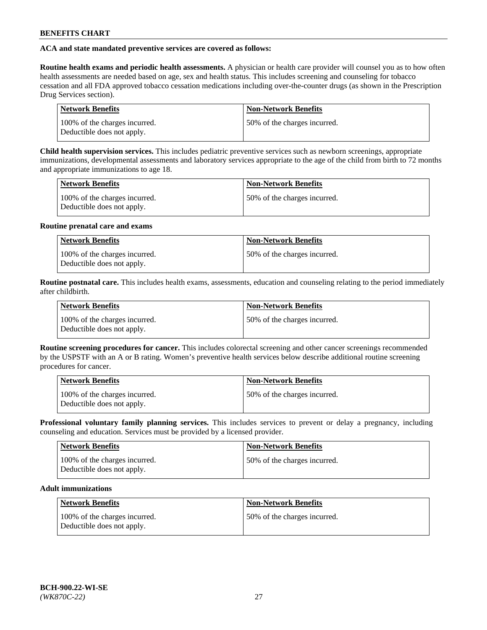## **ACA and state mandated preventive services are covered as follows:**

**Routine health exams and periodic health assessments.** A physician or health care provider will counsel you as to how often health assessments are needed based on age, sex and health status. This includes screening and counseling for tobacco cessation and all FDA approved tobacco cessation medications including over-the-counter drugs (as shown in the Prescription Drug Services section).

| <b>Network Benefits</b>                                     | <b>Non-Network Benefits</b>   |
|-------------------------------------------------------------|-------------------------------|
| 100% of the charges incurred.<br>Deductible does not apply. | 150% of the charges incurred. |

**Child health supervision services.** This includes pediatric preventive services such as newborn screenings, appropriate immunizations, developmental assessments and laboratory services appropriate to the age of the child from birth to 72 months and appropriate immunizations to age 18.

| <b>Network Benefits</b>                                     | <b>Non-Network Benefits</b>  |
|-------------------------------------------------------------|------------------------------|
| 100% of the charges incurred.<br>Deductible does not apply. | 50% of the charges incurred. |

## **Routine prenatal care and exams**

| <b>Network Benefits</b>                                     | <b>Non-Network Benefits</b>  |
|-------------------------------------------------------------|------------------------------|
| 100% of the charges incurred.<br>Deductible does not apply. | 50% of the charges incurred. |

**Routine postnatal care.** This includes health exams, assessments, education and counseling relating to the period immediately after childbirth.

| <b>Network Benefits</b>                                     | <b>Non-Network Benefits</b>  |
|-------------------------------------------------------------|------------------------------|
| 100% of the charges incurred.<br>Deductible does not apply. | 50% of the charges incurred. |

**Routine screening procedures for cancer.** This includes colorectal screening and other cancer screenings recommended by the USPSTF with an A or B rating. Women's preventive health services below describe additional routine screening procedures for cancer.

| <b>Network Benefits</b>                                     | <b>Non-Network Benefits</b>   |
|-------------------------------------------------------------|-------------------------------|
| 100% of the charges incurred.<br>Deductible does not apply. | 150% of the charges incurred. |

**Professional voluntary family planning services.** This includes services to prevent or delay a pregnancy, including counseling and education. Services must be provided by a licensed provider.

| <b>Network Benefits</b>                                     | <b>Non-Network Benefits</b>  |
|-------------------------------------------------------------|------------------------------|
| 100% of the charges incurred.<br>Deductible does not apply. | 50% of the charges incurred. |

## **Adult immunizations**

| Network Benefits                                            | <b>Non-Network Benefits</b>  |
|-------------------------------------------------------------|------------------------------|
| 100% of the charges incurred.<br>Deductible does not apply. | 50% of the charges incurred. |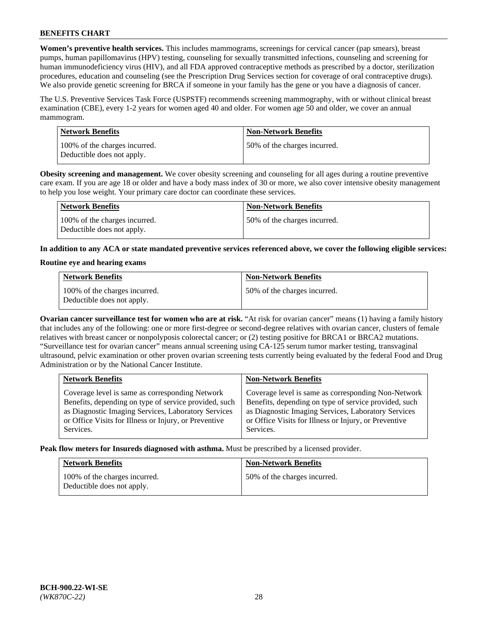**Women's preventive health services.** This includes mammograms, screenings for cervical cancer (pap smears), breast pumps, human papillomavirus (HPV) testing, counseling for sexually transmitted infections, counseling and screening for human immunodeficiency virus (HIV), and all FDA approved contraceptive methods as prescribed by a doctor, sterilization procedures, education and counseling (see the Prescription Drug Services section for coverage of oral contraceptive drugs). We also provide genetic screening for BRCA if someone in your family has the gene or you have a diagnosis of cancer.

The U.S. Preventive Services Task Force (USPSTF) recommends screening mammography, with or without clinical breast examination (CBE), every 1-2 years for women aged 40 and older. For women age 50 and older, we cover an annual mammogram.

| <b>Network Benefits</b>                                     | <b>Non-Network Benefits</b>  |
|-------------------------------------------------------------|------------------------------|
| 100% of the charges incurred.<br>Deductible does not apply. | 50% of the charges incurred. |

**Obesity screening and management.** We cover obesity screening and counseling for all ages during a routine preventive care exam. If you are age 18 or older and have a body mass index of 30 or more, we also cover intensive obesity management to help you lose weight. Your primary care doctor can coordinate these services.

| Network Benefits                                            | <b>Non-Network Benefits</b>  |
|-------------------------------------------------------------|------------------------------|
| 100% of the charges incurred.<br>Deductible does not apply. | 50% of the charges incurred. |

**In addition to any ACA or state mandated preventive services referenced above, we cover the following eligible services:**

## **Routine eye and hearing exams**

| <b>Network Benefits</b>                                     | <b>Non-Network Benefits</b>  |
|-------------------------------------------------------------|------------------------------|
| 100% of the charges incurred.<br>Deductible does not apply. | 50% of the charges incurred. |

**Ovarian cancer surveillance test for women who are at risk.** "At risk for ovarian cancer" means (1) having a family history that includes any of the following: one or more first-degree or second-degree relatives with ovarian cancer, clusters of female relatives with breast cancer or nonpolyposis colorectal cancer; or (2) testing positive for BRCA1 or BRCA2 mutations. "Surveillance test for ovarian cancer" means annual screening using CA-125 serum tumor marker testing, transvaginal ultrasound, pelvic examination or other proven ovarian screening tests currently being evaluated by the federal Food and Drug Administration or by the National Cancer Institute.

| <b>Network Benefits</b>                               | <b>Non-Network Benefits</b>                           |
|-------------------------------------------------------|-------------------------------------------------------|
| Coverage level is same as corresponding Network       | Coverage level is same as corresponding Non-Network   |
| Benefits, depending on type of service provided, such | Benefits, depending on type of service provided, such |
| as Diagnostic Imaging Services, Laboratory Services   | as Diagnostic Imaging Services, Laboratory Services   |
| or Office Visits for Illness or Injury, or Preventive | or Office Visits for Illness or Injury, or Preventive |
| Services.                                             | Services.                                             |

**Peak flow meters for Insureds diagnosed with asthma.** Must be prescribed by a licensed provider.

| <b>Network Benefits</b>                                     | <b>Non-Network Benefits</b>  |
|-------------------------------------------------------------|------------------------------|
| 100% of the charges incurred.<br>Deductible does not apply. | 50% of the charges incurred. |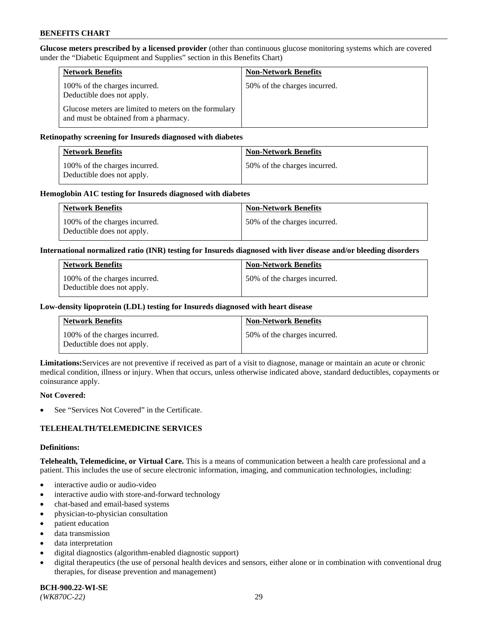**Glucose meters prescribed by a licensed provider** (other than continuous glucose monitoring systems which are covered under the "Diabetic Equipment and Supplies" section in this Benefits Chart)

| <b>Network Benefits</b>                                                                        | <b>Non-Network Benefits</b>  |
|------------------------------------------------------------------------------------------------|------------------------------|
| 100% of the charges incurred.<br>Deductible does not apply.                                    | 50% of the charges incurred. |
| Glucose meters are limited to meters on the formulary<br>and must be obtained from a pharmacy. |                              |

## **Retinopathy screening for Insureds diagnosed with diabetes**

| <b>Network Benefits</b>                                     | <b>Non-Network Benefits</b>  |
|-------------------------------------------------------------|------------------------------|
| 100% of the charges incurred.<br>Deductible does not apply. | 50% of the charges incurred. |

## **Hemoglobin A1C testing for Insureds diagnosed with diabetes**

| <b>Network Benefits</b>                                     | <b>Non-Network Benefits</b>  |
|-------------------------------------------------------------|------------------------------|
| 100% of the charges incurred.<br>Deductible does not apply. | 50% of the charges incurred. |

## **International normalized ratio (INR) testing for Insureds diagnosed with liver disease and/or bleeding disorders**

| <b>Network Benefits</b>                                     | <b>Non-Network Benefits</b>  |
|-------------------------------------------------------------|------------------------------|
| 100% of the charges incurred.<br>Deductible does not apply. | 50% of the charges incurred. |

## **Low-density lipoprotein (LDL) testing for Insureds diagnosed with heart disease**

| <b>Network Benefits</b>                                     | <b>Non-Network Benefits</b>  |
|-------------------------------------------------------------|------------------------------|
| 100% of the charges incurred.<br>Deductible does not apply. | 50% of the charges incurred. |

**Limitations:**Services are not preventive if received as part of a visit to diagnose, manage or maintain an acute or chronic medical condition, illness or injury. When that occurs, unless otherwise indicated above, standard deductibles, copayments or coinsurance apply.

### **Not Covered:**

See "Services Not Covered" in the Certificate.

## **TELEHEALTH/TELEMEDICINE SERVICES**

### **Definitions:**

**Telehealth, Telemedicine, or Virtual Care.** This is a means of communication between a health care professional and a patient. This includes the use of secure electronic information, imaging, and communication technologies, including:

- interactive audio or audio-video
- interactive audio with store-and-forward technology
- chat-based and email-based systems
- physician-to-physician consultation
- patient education
- data transmission
- data interpretation
- digital diagnostics (algorithm-enabled diagnostic support)
- digital therapeutics (the use of personal health devices and sensors, either alone or in combination with conventional drug therapies, for disease prevention and management)

**BCH-900.22-WI-SE**  *(WK870C-22)* 29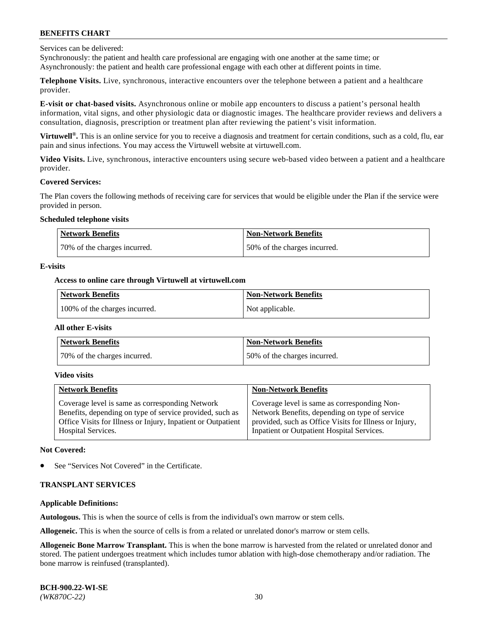Services can be delivered:

Synchronously: the patient and health care professional are engaging with one another at the same time; or Asynchronously: the patient and health care professional engage with each other at different points in time.

**Telephone Visits.** Live, synchronous, interactive encounters over the telephone between a patient and a healthcare provider.

**E-visit or chat-based visits.** Asynchronous online or mobile app encounters to discuss a patient's personal health information, vital signs, and other physiologic data or diagnostic images. The healthcare provider reviews and delivers a consultation, diagnosis, prescription or treatment plan after reviewing the patient's visit information.

**Virtuwell®.** This is an online service for you to receive a diagnosis and treatment for certain conditions, such as a cold, flu, ear pain and sinus infections. You may access the Virtuwell website at [virtuwell.com.](https://www.virtuwell.com/)

**Video Visits.** Live, synchronous, interactive encounters using secure web-based video between a patient and a healthcare provider.

### **Covered Services:**

The Plan covers the following methods of receiving care for services that would be eligible under the Plan if the service were provided in person.

### **Scheduled telephone visits**

| <b>Network Benefits</b>      | <b>Non-Network Benefits</b>  |
|------------------------------|------------------------------|
| 70% of the charges incurred. | 50% of the charges incurred. |

## **E-visits**

## **Access to online care through Virtuwell at [virtuwell.com](https://www.virtuwell.com/)**

| Network Benefits              | <b>Non-Network Benefits</b> |
|-------------------------------|-----------------------------|
| 100% of the charges incurred. | Not applicable.             |

### **All other E-visits**

| <b>Network Benefits</b>      | <b>Non-Network Benefits</b>  |
|------------------------------|------------------------------|
| 70% of the charges incurred. | 50% of the charges incurred. |

### **Video visits**

| <b>Network Benefits</b>                                      | <b>Non-Network Benefits</b>                            |
|--------------------------------------------------------------|--------------------------------------------------------|
| Coverage level is same as corresponding Network              | Coverage level is same as corresponding Non-           |
| Benefits, depending on type of service provided, such as     | Network Benefits, depending on type of service         |
| Office Visits for Illness or Injury, Inpatient or Outpatient | provided, such as Office Visits for Illness or Injury, |
| <b>Hospital Services.</b>                                    | Inpatient or Outpatient Hospital Services.             |

### **Not Covered:**

See "Services Not Covered" in the Certificate.

## **TRANSPLANT SERVICES**

## **Applicable Definitions:**

**Autologous.** This is when the source of cells is from the individual's own marrow or stem cells.

**Allogeneic.** This is when the source of cells is from a related or unrelated donor's marrow or stem cells.

**Allogeneic Bone Marrow Transplant.** This is when the bone marrow is harvested from the related or unrelated donor and stored. The patient undergoes treatment which includes tumor ablation with high-dose chemotherapy and/or radiation. The bone marrow is reinfused (transplanted).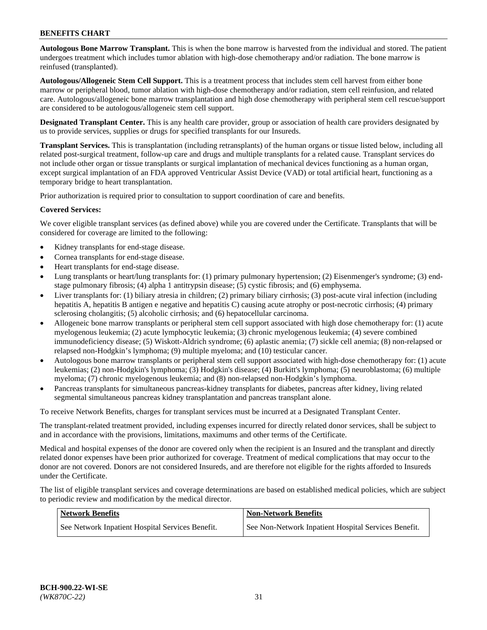**Autologous Bone Marrow Transplant.** This is when the bone marrow is harvested from the individual and stored. The patient undergoes treatment which includes tumor ablation with high-dose chemotherapy and/or radiation. The bone marrow is reinfused (transplanted).

**Autologous/Allogeneic Stem Cell Support.** This is a treatment process that includes stem cell harvest from either bone marrow or peripheral blood, tumor ablation with high-dose chemotherapy and/or radiation, stem cell reinfusion, and related care. Autologous/allogeneic bone marrow transplantation and high dose chemotherapy with peripheral stem cell rescue/support are considered to be autologous/allogeneic stem cell support.

**Designated Transplant Center.** This is any health care provider, group or association of health care providers designated by us to provide services, supplies or drugs for specified transplants for our Insureds.

**Transplant Services.** This is transplantation (including retransplants) of the human organs or tissue listed below, including all related post-surgical treatment, follow-up care and drugs and multiple transplants for a related cause. Transplant services do not include other organ or tissue transplants or surgical implantation of mechanical devices functioning as a human organ, except surgical implantation of an FDA approved Ventricular Assist Device (VAD) or total artificial heart, functioning as a temporary bridge to heart transplantation.

Prior authorization is required prior to consultation to support coordination of care and benefits.

## **Covered Services:**

We cover eligible transplant services (as defined above) while you are covered under the Certificate. Transplants that will be considered for coverage are limited to the following:

- Kidney transplants for end-stage disease.
- Cornea transplants for end-stage disease.
- Heart transplants for end-stage disease.
- Lung transplants or heart/lung transplants for: (1) primary pulmonary hypertension; (2) Eisenmenger's syndrome; (3) endstage pulmonary fibrosis; (4) alpha 1 antitrypsin disease; (5) cystic fibrosis; and (6) emphysema.
- Liver transplants for: (1) biliary atresia in children; (2) primary biliary cirrhosis; (3) post-acute viral infection (including hepatitis A, hepatitis B antigen e negative and hepatitis C) causing acute atrophy or post-necrotic cirrhosis; (4) primary sclerosing cholangitis; (5) alcoholic cirrhosis; and (6) hepatocellular carcinoma.
- Allogeneic bone marrow transplants or peripheral stem cell support associated with high dose chemotherapy for: (1) acute myelogenous leukemia; (2) acute lymphocytic leukemia; (3) chronic myelogenous leukemia; (4) severe combined immunodeficiency disease; (5) Wiskott-Aldrich syndrome; (6) aplastic anemia; (7) sickle cell anemia; (8) non-relapsed or relapsed non-Hodgkin's lymphoma; (9) multiple myeloma; and (10) testicular cancer.
- Autologous bone marrow transplants or peripheral stem cell support associated with high-dose chemotherapy for: (1) acute leukemias; (2) non-Hodgkin's lymphoma; (3) Hodgkin's disease; (4) Burkitt's lymphoma; (5) neuroblastoma; (6) multiple myeloma; (7) chronic myelogenous leukemia; and (8) non-relapsed non-Hodgkin's lymphoma.
- Pancreas transplants for simultaneous pancreas-kidney transplants for diabetes, pancreas after kidney, living related segmental simultaneous pancreas kidney transplantation and pancreas transplant alone.

To receive Network Benefits, charges for transplant services must be incurred at a Designated Transplant Center.

The transplant-related treatment provided, including expenses incurred for directly related donor services, shall be subject to and in accordance with the provisions, limitations, maximums and other terms of the Certificate.

Medical and hospital expenses of the donor are covered only when the recipient is an Insured and the transplant and directly related donor expenses have been prior authorized for coverage. Treatment of medical complications that may occur to the donor are not covered. Donors are not considered Insureds, and are therefore not eligible for the rights afforded to Insureds under the Certificate.

The list of eligible transplant services and coverage determinations are based on established medical policies, which are subject to periodic review and modification by the medical director.

| Network Benefits                                 | <b>Non-Network Benefits</b>                          |
|--------------------------------------------------|------------------------------------------------------|
| See Network Inpatient Hospital Services Benefit. | See Non-Network Inpatient Hospital Services Benefit. |